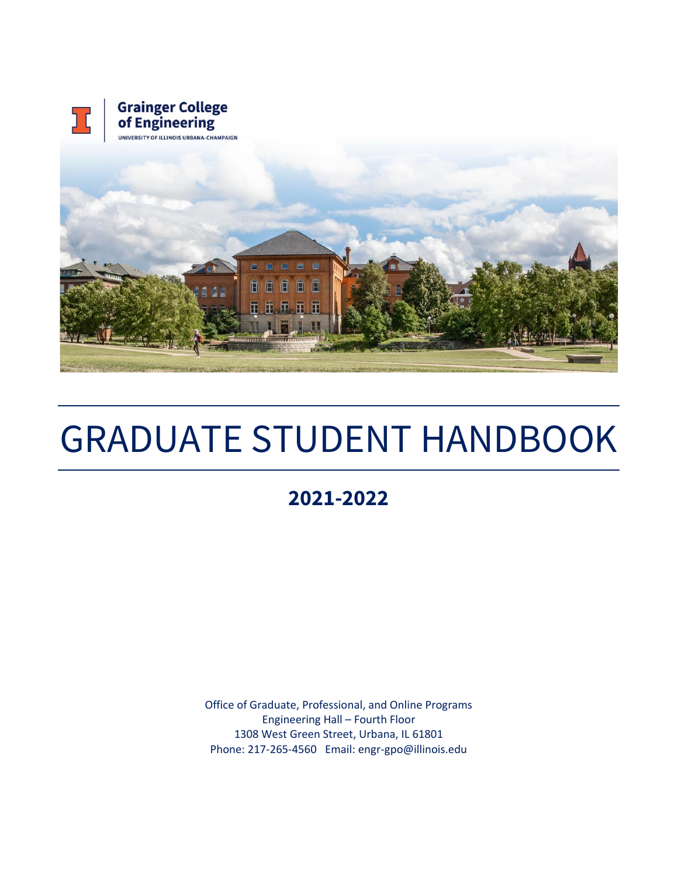

# GRADUATE STUDENT HANDBOOK

# **2021-2022**

Office of Graduate, Professional, and Online Programs Engineering Hall – Fourth Floor 1308 West Green Street, Urbana, IL 61801 Phone: 217-265-4560 Email: engr-gpo@illinois.edu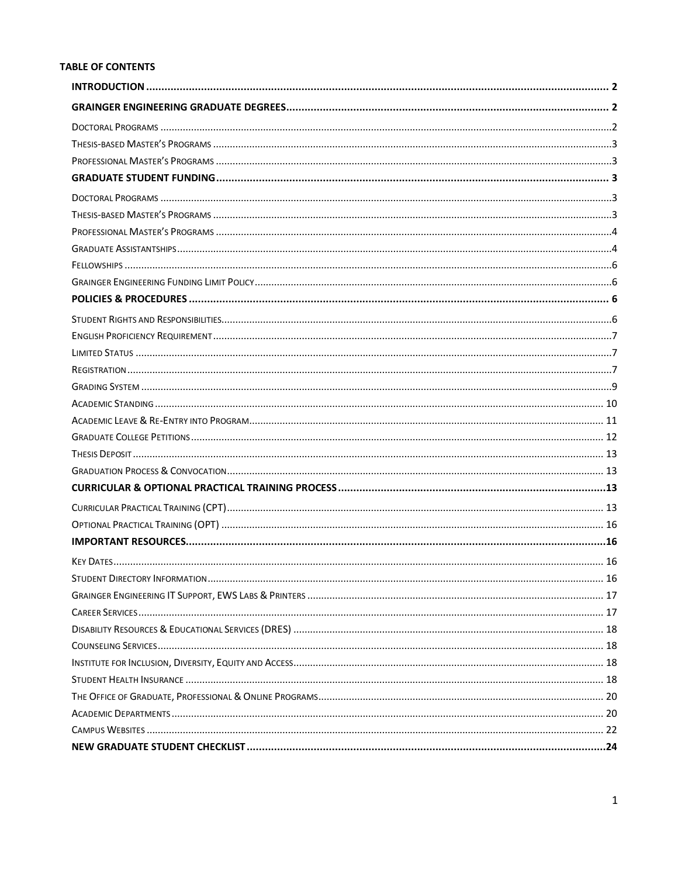#### **TABLE OF CONTENTS**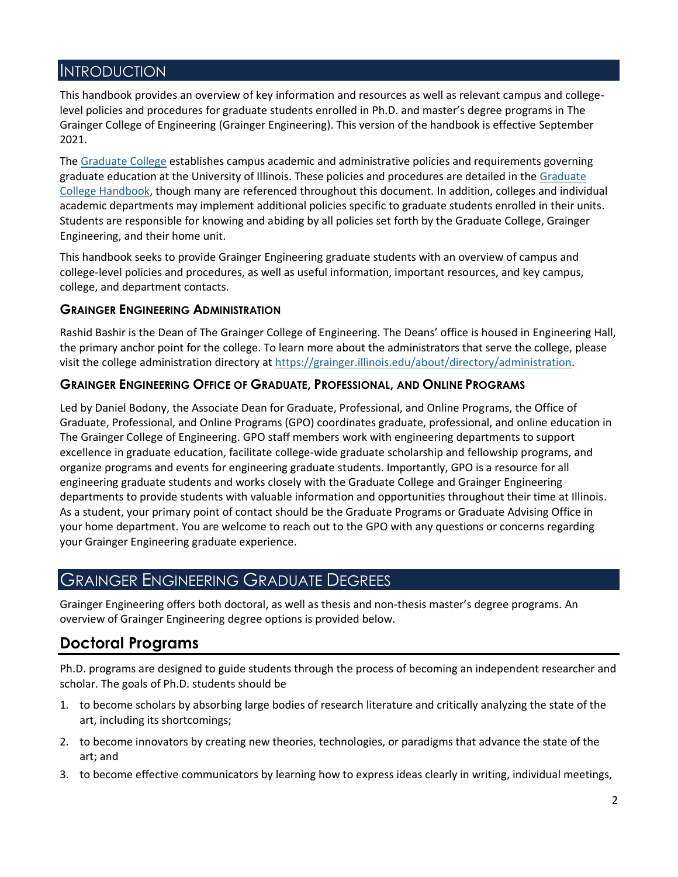### <span id="page-2-0"></span>**INTRODUCTION**

This handbook provides an overview of key information and resources as well as relevant campus and collegelevel policies and procedures for graduate students enrolled in Ph.D. and master's degree programs in The Grainger College of Engineering (Grainger Engineering). This version of the handbook is effective September 2021.

The [Graduate College](https://grad.illinois.edu/) establishes campus academic and administrative policies and requirements governing graduate education at the University of Illinois. These policies and procedures are detailed in the Graduate [College Handbook,](https://grad.illinois.edu/handbooks-policies) though many are referenced throughout this document. In addition, colleges and individual academic departments may implement additional policies specific to graduate students enrolled in their units. Students are responsible for knowing and abiding by all policies set forth by the Graduate College, Grainger Engineering, and their home unit.

This handbook seeks to provide Grainger Engineering graduate students with an overview of campus and college-level policies and procedures, as well as useful information, important resources, and key campus, college, and department contacts.

#### **GRAINGER ENGINEERING ADMINISTRATION**

Rashid Bashir is the Dean of The Grainger College of Engineering. The Deans' office is housed in Engineering Hall, the primary anchor point for the college. To learn more about the administrators that serve the college, please visit the college administration directory at [https://grainger.illinois.edu/about/directory/administration.](https://grainger.illinois.edu/about/directory/administration)

#### **GRAINGER ENGINEERING OFFICE OF GRADUATE, PROFESSIONAL, AND ONLINE PROGRAMS**

Led by Daniel Bodony, the Associate Dean for Graduate, Professional, and Online Programs, the Office of Graduate, Professional, and Online Programs (GPO) coordinates graduate, professional, and online education in The Grainger College of Engineering. GPO staff members work with engineering departments to support excellence in graduate education, facilitate college-wide graduate scholarship and fellowship programs, and organize programs and events for engineering graduate students. Importantly, GPO is a resource for all engineering graduate students and works closely with the Graduate College and Grainger Engineering departments to provide students with valuable information and opportunities throughout their time at Illinois. As a student, your primary point of contact should be the Graduate Programs or Graduate Advising Office in your home department. You are welcome to reach out to the GPO with any questions or concerns regarding your Grainger Engineering graduate experience.

### <span id="page-2-1"></span>GRAINGER ENGINEERING GRADUATE DEGREES

Grainger Engineering offers both doctoral, as well as thesis and non-thesis master's degree programs. An overview of Grainger Engineering degree options is provided below.

# <span id="page-2-2"></span>**Doctoral Programs**

Ph.D. programs are designed to guide students through the process of becoming an independent researcher and scholar. The goals of Ph.D. students should be

- 1. to become scholars by absorbing large bodies of research literature and critically analyzing the state of the art, including its shortcomings;
- 2. to become innovators by creating new theories, technologies, or paradigms that advance the state of the art; and
- 3. to become effective communicators by learning how to express ideas clearly in writing, individual meetings,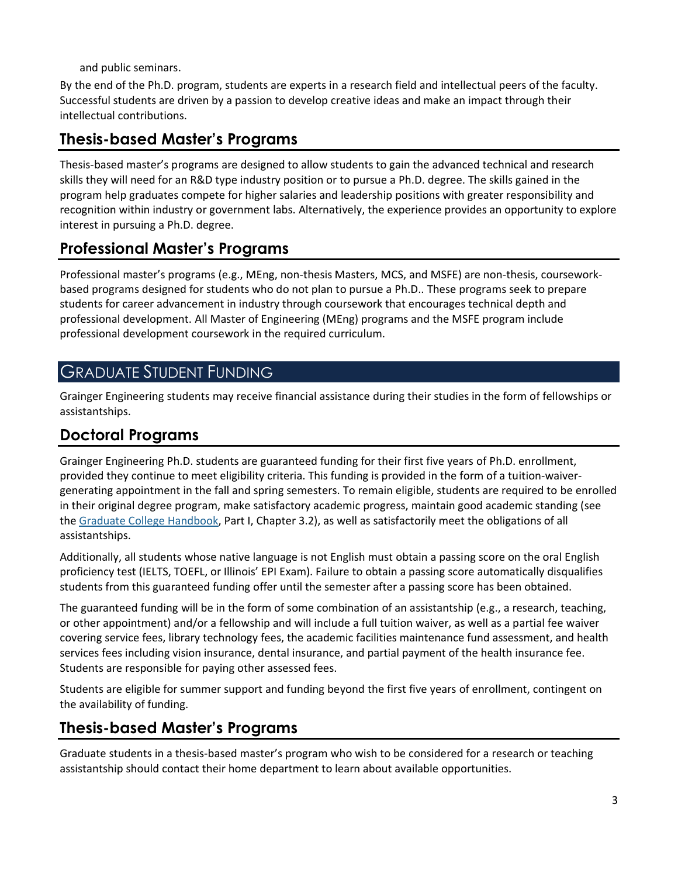and public seminars.

By the end of the Ph.D. program, students are experts in a research field and intellectual peers of the faculty. Successful students are driven by a passion to develop creative ideas and make an impact through their intellectual contributions.

# <span id="page-3-0"></span>**Thesis-based Master's Programs**

Thesis-based master's programs are designed to allow students to gain the advanced technical and research skills they will need for an R&D type industry position or to pursue a Ph.D. degree. The skills gained in the program help graduates compete for higher salaries and leadership positions with greater responsibility and recognition within industry or government labs. Alternatively, the experience provides an opportunity to explore interest in pursuing a Ph.D. degree.

# <span id="page-3-1"></span>**Professional Master's Programs**

Professional master's programs (e.g., MEng, non-thesis Masters, MCS, and MSFE) are non-thesis, courseworkbased programs designed for students who do not plan to pursue a Ph.D.. These programs seek to prepare students for career advancement in industry through coursework that encourages technical depth and professional development. All Master of Engineering (MEng) programs and the MSFE program include professional development coursework in the required curriculum.

### <span id="page-3-2"></span>GRADUATE STUDENT FUNDING

Grainger Engineering students may receive financial assistance during their studies in the form of fellowships or assistantships.

### <span id="page-3-3"></span>**Doctoral Programs**

Grainger Engineering Ph.D. students are guaranteed funding for their first five years of Ph.D. enrollment, provided they continue to meet eligibility criteria. This funding is provided in the form of a tuition-waivergenerating appointment in the fall and spring semesters. To remain eligible, students are required to be enrolled in their original degree program, make satisfactory academic progress, maintain good academic standing (see th[e Graduate College Handbook,](https://grad.illinois.edu/handbooks-policies) Part I, Chapter 3.2), as well as satisfactorily meet the obligations of all assistantships.

Additionally, all students whose native language is not English must obtain a passing score on the oral English proficiency test (IELTS, TOEFL, or Illinois' EPI Exam). Failure to obtain a passing score automatically disqualifies students from this guaranteed funding offer until the semester after a passing score has been obtained.

The guaranteed funding will be in the form of some combination of an assistantship (e.g., a research, teaching, or other appointment) and/or a fellowship and will include a full tuition waiver, as well as a partial fee waiver covering service fees, library technology fees, the academic facilities maintenance fund assessment, and health services fees including vision insurance, dental insurance, and partial payment of the health insurance fee. Students are responsible for paying other assessed fees.

Students are eligible for summer support and funding beyond the first five years of enrollment, contingent on the availability of funding.

# <span id="page-3-4"></span>**Thesis-based Master's Programs**

Graduate students in a thesis-based master's program who wish to be considered for a research or teaching assistantship should contact their home department to learn about available opportunities.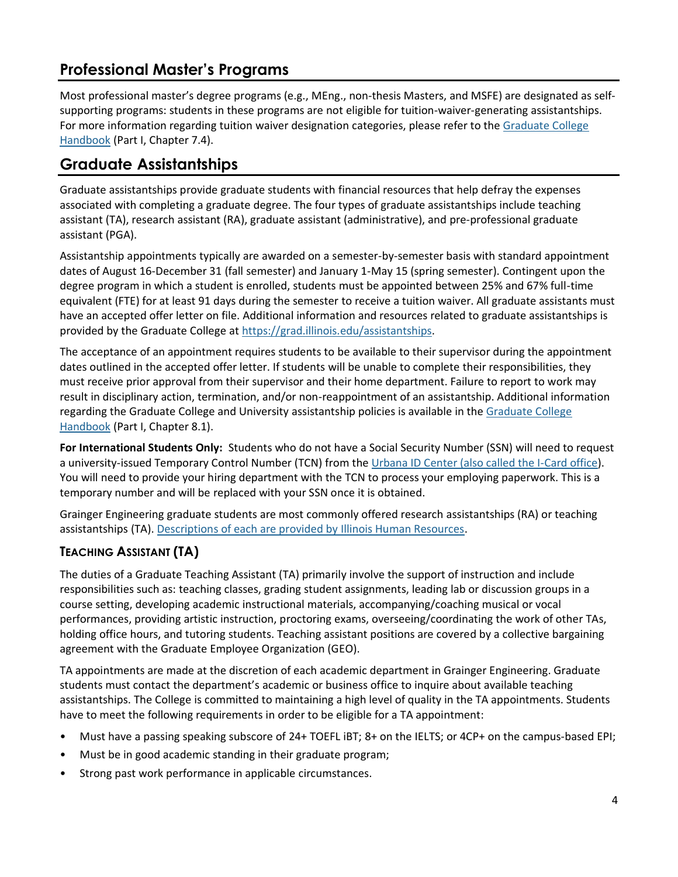# <span id="page-4-0"></span>**Professional Master's Programs**

Most professional master's degree programs (e.g., MEng., non-thesis Masters, and MSFE) are designated as selfsupporting programs: students in these programs are not eligible for tuition-waiver-generating assistantships. For more information regarding tuition waiver designation categories, please refer to the Graduate College [Handbook](https://grad.illinois.edu/handbooks-policies) (Part I, Chapter 7.4).

# <span id="page-4-1"></span>**Graduate Assistantships**

Graduate assistantships provide graduate students with financial resources that help defray the expenses associated with completing a graduate degree. The four types of graduate assistantships include teaching assistant (TA), research assistant (RA), graduate assistant (administrative), and pre-professional graduate assistant (PGA).

Assistantship appointments typically are awarded on a semester-by-semester basis with standard appointment dates of August 16-December 31 (fall semester) and January 1-May 15 (spring semester). Contingent upon the degree program in which a student is enrolled, students must be appointed between 25% and 67% full-time equivalent (FTE) for at least 91 days during the semester to receive a tuition waiver. All graduate assistants must have an accepted offer letter on file. Additional information and resources related to graduate assistantships is provided by the Graduate College at [https://grad.illinois.edu/assistantships.](https://grad.illinois.edu/assistantships)

The acceptance of an appointment requires students to be available to their supervisor during the appointment dates outlined in the accepted offer letter. If students will be unable to complete their responsibilities, they must receive prior approval from their supervisor and their home department. Failure to report to work may result in disciplinary action, termination, and/or non-reappointment of an assistantship. Additional information regarding the Graduate College and University assistantship policies is available in the [Graduate College](https://grad.illinois.edu/handbooks-policies)  [Handbook](https://grad.illinois.edu/handbooks-policies) (Part I, Chapter 8.1).

**For International Students Only:** Students who do not have a Social Security Number (SSN) will need to request a university-issued Temporary Control Number (TCN) from th[e Urbana ID Center \(also called the I-Card](https://icard.uillinois.edu/public/urbana-idc.cfm) office). You will need to provide your hiring department with the TCN to process your employing paperwork. This is a temporary number and will be replaced with your SSN once it is obtained.

Grainger Engineering graduate students are most commonly offered research assistantships (RA) or teaching assistantships (TA). [Descriptions of each are provided by Illinois Human Resources.](https://humanresources.illinois.edu/employees/current-employees/graduate-employees/graduate-assistant/index.html)

### **TEACHING ASSISTANT (TA)**

The duties of a Graduate Teaching Assistant (TA) primarily involve the support of instruction and include responsibilities such as: teaching classes, grading student assignments, leading lab or discussion groups in a course setting, developing academic instructional materials, accompanying/coaching musical or vocal performances, providing artistic instruction, proctoring exams, overseeing/coordinating the work of other TAs, holding office hours, and tutoring students. Teaching assistant positions are covered by a collective bargaining agreement with the Graduate Employee Organization (GEO).

TA appointments are made at the discretion of each academic department in Grainger Engineering. Graduate students must contact the department's academic or business office to inquire about available teaching assistantships. The College is committed to maintaining a high level of quality in the TA appointments. Students have to meet the following requirements in order to be eligible for a TA appointment:

- Must have a passing speaking subscore of 24+ TOEFL iBT; 8+ on the IELTS; or 4CP+ on the campus-based EPI;
- Must be in good academic standing in their graduate program;
- Strong past work performance in applicable circumstances.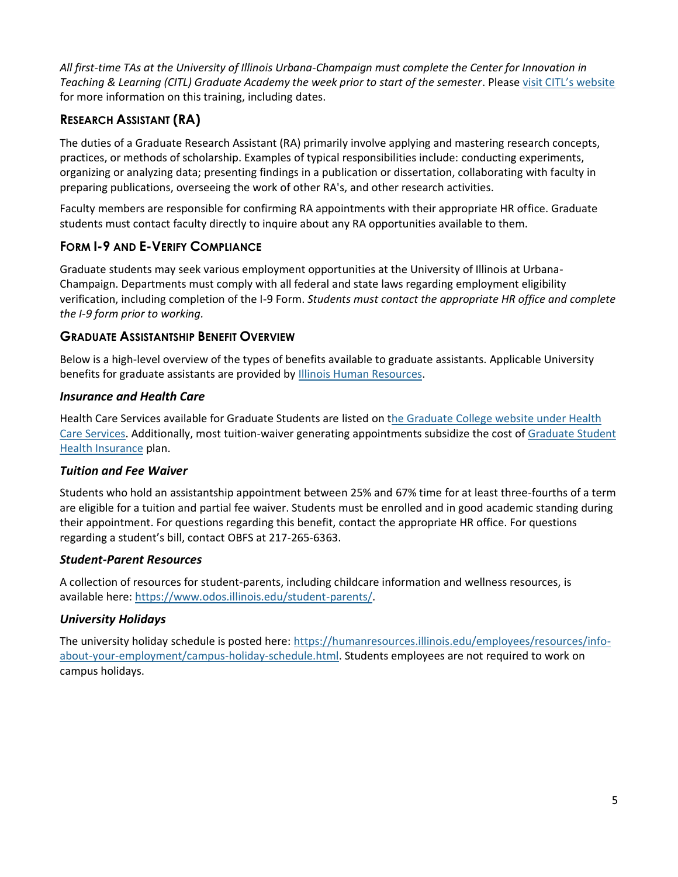*All first-time TAs at the University of Illinois Urbana-Champaign must complete the Center for Innovation in Teaching & Learning (CITL) Graduate Academy the week prior to start of the semester*. Please v[isit CITL's website](https://citl.illinois.edu/citl-101/teaching-learning/conferences-workshops/grad-academy-for-college-teaching) for more information on this training, including dates.

### **RESEARCH ASSISTANT (RA)**

The duties of a Graduate Research Assistant (RA) primarily involve applying and mastering research concepts, practices, or methods of scholarship. Examples of typical responsibilities include: conducting experiments, organizing or analyzing data; presenting findings in a publication or dissertation, collaborating with faculty in preparing publications, overseeing the work of other RA's, and other research activities.

Faculty members are responsible for confirming RA appointments with their appropriate HR office. Graduate students must contact faculty directly to inquire about any RA opportunities available to them.

### **FORM I-9 AND E-VERIFY COMPLIANCE**

Graduate students may seek various employment opportunities at the University of Illinois at Urbana-Champaign. Departments must comply with all federal and state laws regarding employment eligibility verification, including completion of the I-9 Form. *Students must contact the appropriate HR office and complete the I-9 form prior to working.*

#### **GRADUATE ASSISTANTSHIP BENEFIT OVERVIEW**

Below is a high-level overview of the types of benefits available to graduate assistants. Applicable University benefits for graduate assistants are provided by [Illinois Human Resources.](https://humanresources.illinois.edu/employees/current-employees/graduate-employees/graduate-assistant/payroll&benefits.html)

#### *Insurance and Health Care*

Health Care Services available for Graduate Students are listed on [the Graduate College website under Health](https://grad.illinois.edu/gradmap/health-care)  [Care Services.](https://grad.illinois.edu/gradmap/health-care) Additionally, most tuition-waiver generating appointments subsidize the cost of [Graduate Student](#page-18-3)  [Health Insurance](#page-18-3) plan.

#### *Tuition and Fee Waiver*

Students who hold an assistantship appointment between 25% and 67% time for at least three-fourths of a term are eligible for a tuition and partial fee waiver. Students must be enrolled and in good academic standing during their appointment. For questions regarding this benefit, contact the appropriate HR office. For questions regarding a student's bill, contact OBFS at 217-265-6363.

#### *Student-Parent Resources*

A collection of resources for student-parents, including childcare information and wellness resources, is available here: [https://www.odos.illinois.edu/student-parents/.](https://www.odos.illinois.edu/student-parents/)

#### *University Holidays*

The university holiday schedule is posted here: [https://humanresources.illinois.edu/employees/resources/info](https://humanresources.illinois.edu/employees/resources/info-about-your-employment/campus-holiday-schedule.html)[about-your-employment/campus-holiday-schedule.html.](https://humanresources.illinois.edu/employees/resources/info-about-your-employment/campus-holiday-schedule.html) Students employees are not required to work on campus holidays.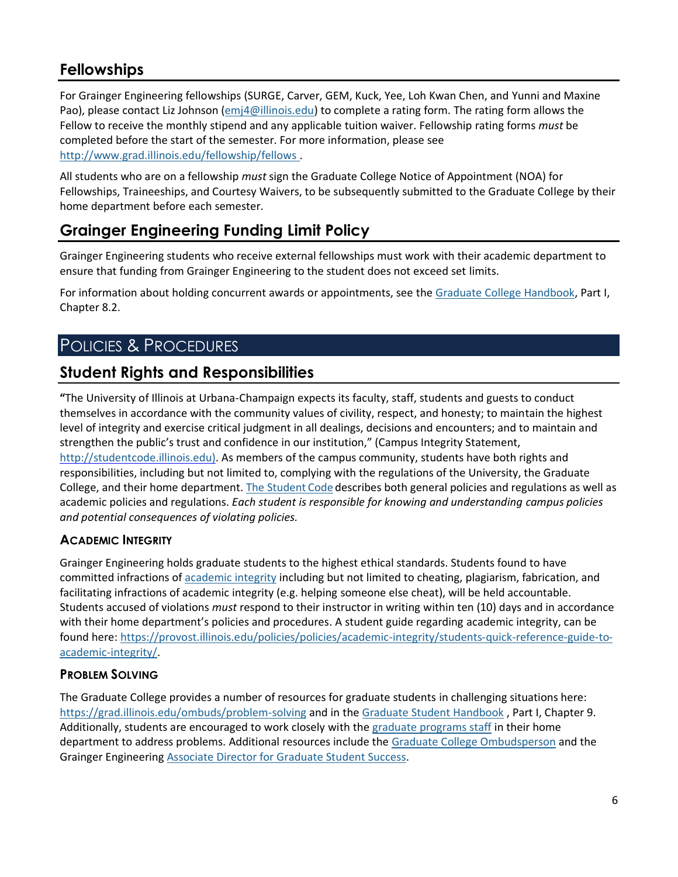### <span id="page-6-0"></span>**Fellowships**

For Grainger Engineering fellowships (SURGE, Carver, GEM, Kuck, Yee, Loh Kwan Chen, and Yunni and Maxine Pao), please contact Liz Johnson [\(emj4@illinois.edu\)](mailto:emj4@illinois.edu) to complete a rating form. The rating form allows the Fellow to receive the monthly stipend and any applicable tuition waiver. Fellowship rating forms *must* be completed before the start of the semester. For more information, please see <http://www.grad.illinois.edu/fellowship/fellows> .

All students who are on a fellowship *must* sign the Graduate College Notice of Appointment (NOA) for Fellowships, Traineeships, and Courtesy Waivers, to be subsequently submitted to the Graduate College by their home department before each semester.

# <span id="page-6-1"></span>**Grainger Engineering Funding Limit Policy**

Grainger Engineering students who receive external fellowships must work with their academic department to ensure that funding from Grainger Engineering to the student does not exceed set limits.

For information about holding concurrent awards or appointments, see the [Graduate College Handbook,](https://grad.illinois.edu/handbooks-policies) Part I, Chapter 8.2.

# <span id="page-6-2"></span>POLICIES & PROCEDURES

### <span id="page-6-3"></span>**Student Rights and Responsibilities**

**"**The University of Illinois at Urbana-Champaign expects its faculty, staff, students and guests to conduct themselves in accordance with the community values of civility, respect, and honesty; to maintain the highest level of integrity and exercise critical judgment in all dealings, decisions and encounters; and to maintain and strengthen the public's trust and confidence in our institution," (Campus Integrity Statement, [http://studentcode.illinois.edu\).](http://studentcode.illinois.edu/) As members of the campus community, students have both rights and responsibilities, including but not limited to, complying with the regulations of the University, the Graduate College, and their home department. The [Student](http://studentcode.illinois.edu/) Code describes both general policies and regulations as well as academic policies and regulations. *Each student is responsible for knowing and understanding campus policies and potential consequences of violating policies.*

### **ACADEMIC INTEGRITY**

Grainger Engineering holds graduate students to the highest ethical standards. Students found to have committed infractions of [academic integrity](https://studentcode.illinois.edu/article1/part4/1-402/) including but not limited to cheating, plagiarism, fabrication, and facilitating infractions of academic integrity (e.g. helping someone else cheat), will be held accountable. Students accused of violations *must* respond to their instructor in writing within ten (10) days and in accordance with their home department's policies and procedures. A student guide regarding academic integrity, can be found here: [https://provost.illinois.edu/policies/policies/academic-integrity/students-quick-reference-guide-to](https://provost.illinois.edu/policies/policies/academic-integrity/students-quick-reference-guide-to-academic-integrity/)[academic-integrity/.](https://provost.illinois.edu/policies/policies/academic-integrity/students-quick-reference-guide-to-academic-integrity/)

#### **PROBLEM SOLVING**

The Graduate College provides a number of resources for graduate students in challenging situations here: <https://grad.illinois.edu/ombuds/problem-solving> and in the [Graduate Student Handbook](https://grad.illinois.edu/handbooks-policies), Part I, Chapter 9. Additionally, students are encouraged to work closely with the [graduate programs staff](#page-20-1) in their home department to address problems. Additional resources include th[e Graduate College Ombudsperson](#page-22-0) and the Grainger Engineerin[g Associate Director for Graduate Student Success.](mailto:dgonzal2@illinois.edu)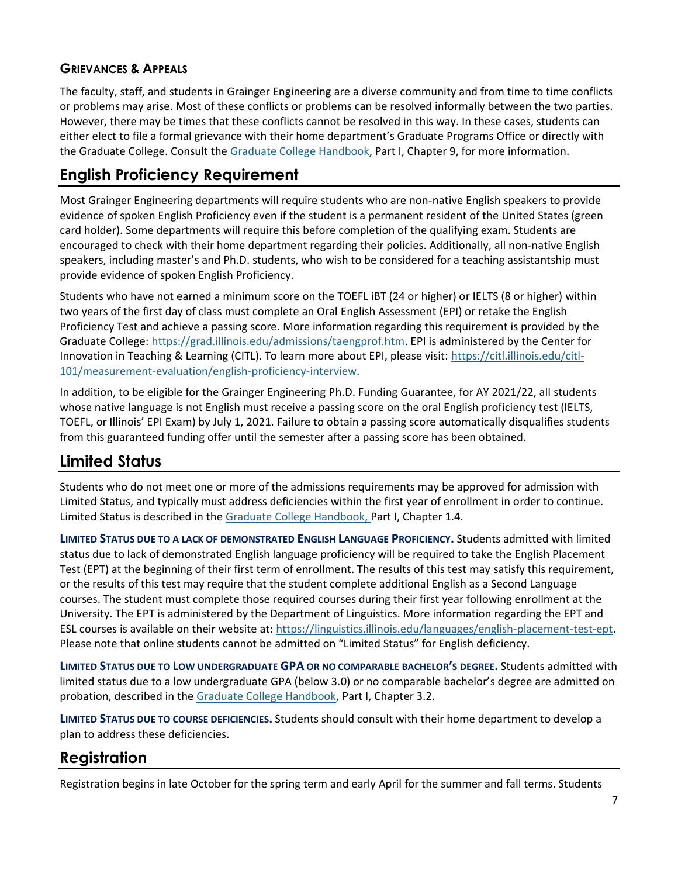### **GRIEVANCES & APPEALS**

The faculty, staff, and students in Grainger Engineering are a diverse community and from time to time conflicts or problems may arise. Most of these conflicts or problems can be resolved informally between the two parties. However, there may be times that these conflicts cannot be resolved in this way. In these cases, students can either elect to file a formal grievance with their home department's Graduate Programs Office or directly with the Graduate College. Consult th[e Graduate College Handbook,](https://grad.illinois.edu/handbooks-policies) Part I, Chapter 9, for more information.

# <span id="page-7-0"></span>**English Proficiency Requirement**

Most Grainger Engineering departments will require students who are non-native English speakers to provide evidence of spoken English Proficiency even if the student is a permanent resident of the United States (green card holder). Some departments will require this before completion of the qualifying exam. Students are encouraged to check with their home department regarding their policies. Additionally, all non-native English speakers, including master's and Ph.D. students, who wish to be considered for a teaching assistantship must provide evidence of spoken English Proficiency.

Students who have not earned a minimum score on the TOEFL iBT (24 or higher) or IELTS (8 or higher) within two years of the first day of class must complete an Oral English Assessment (EPI) or retake the English Proficiency Test and achieve a passing score. More information regarding this requirement is provided by the Graduate College: [https://grad.illinois.edu/admissions/taengprof.htm.](https://grad.illinois.edu/admissions/taengprof.htm) EPI is administered by the Center for Innovation in Teaching & Learning (CITL). To learn more about EPI, please visit: [https://citl.illinois.edu/citl-](https://citl.illinois.edu/citl-101/measurement-evaluation/english-proficiency-interview)[101/measurement-evaluation/english-proficiency-interview.](https://citl.illinois.edu/citl-101/measurement-evaluation/english-proficiency-interview)

In addition, to be eligible for the Grainger Engineering Ph.D. Funding Guarantee, for AY 2021/22, all students whose native language is not English must receive a passing score on the oral English proficiency test (IELTS, TOEFL, or Illinois' EPI Exam) by July 1, 2021. Failure to obtain a passing score automatically disqualifies students from this guaranteed funding offer until the semester after a passing score has been obtained.

# <span id="page-7-1"></span>**Limited Status**

Students who do not meet one or more of the admissions requirements may be approved for admission with Limited Status, and typically must address deficiencies within the first year of enrollment in order to continue. Limited Status is described in the [Graduate College Handbook,](https://grad.illinois.edu/handbooks-policies) Part I, Chapter 1.4.

**LIMITED STATUS DUE TO A LACK OF DEMONSTRATED ENGLISH LANGUAGE PROFICIENCY.** Students admitted with limited status due to lack of demonstrated English language proficiency will be required to take the English Placement Test (EPT) at the beginning of their first term of enrollment. The results of this test may satisfy this requirement, or the results of this test may require that the student complete additional English as a Second Language courses. The student must complete those required courses during their first year following enrollment at the University. The EPT is administered by the Department of Linguistics. More information regarding the EPT and ESL courses is available on their website at: [https://linguistics.illinois.edu/languages/english-placement-test-ept.](https://linguistics.illinois.edu/languages/english-placement-test-ept) Please note that online students cannot be admitted on "Limited Status" for English deficiency.

**LIMITED STATUS DUE TO LOW UNDERGRADUATE GPA OR NO COMPARABLE BACHELOR'S DEGREE.** Students admitted with limited status due to a low undergraduate GPA (below 3.0) or no comparable bachelor's degree are admitted on probation, described in the [Graduate College Handbook,](https://grad.illinois.edu/handbooks-policies) Part I, Chapter 3.2.

**LIMITED STATUS DUE TO COURSE DEFICIENCIES.** Students should consult with their home department to develop a plan to address these deficiencies.

# <span id="page-7-2"></span>**Registration**

Registration begins in late October for the spring term and early April for the summer and fall terms. Students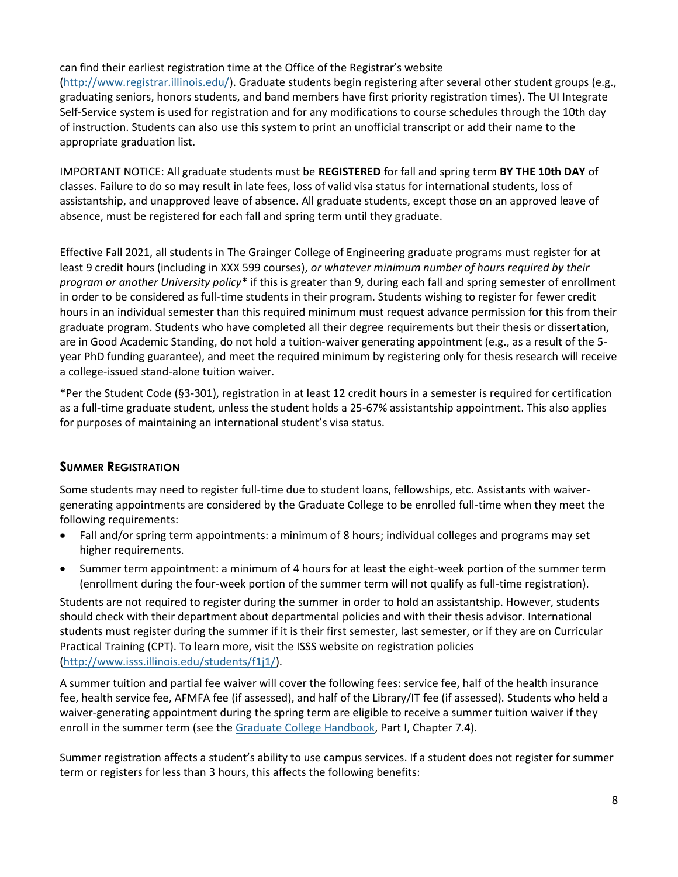#### can find their earliest registration time at the Office of the Registrar's website

[\(http://www.registrar.illinois.edu/\)](http://www.registrar.illinois.edu/). Graduate students begin registering after several other student groups (e.g., graduating seniors, honors students, and band members have first priority registration times). The UI Integrate Self-Service system is used for registration and for any modifications to course schedules through the 10th day of instruction. Students can also use this system to print an unofficial transcript or add their name to the appropriate graduation list.

IMPORTANT NOTICE: All graduate students must be **REGISTERED** for fall and spring term **BY THE 10th DAY** of classes. Failure to do so may result in late fees, loss of valid visa status for international students, loss of assistantship, and unapproved leave of absence. All graduate students, except those on an approved leave of absence, must be registered for each fall and spring term until they graduate.

Effective Fall 2021, all students in The Grainger College of Engineering graduate programs must register for at least 9 credit hours (including in XXX 599 courses), *or whatever minimum number of hours required by their program or another University policy*\* if this is greater than 9, during each fall and spring semester of enrollment in order to be considered as full-time students in their program. Students wishing to register for fewer credit hours in an individual semester than this required minimum must request advance permission for this from their graduate program. Students who have completed all their degree requirements but their thesis or dissertation, are in Good Academic Standing, do not hold a tuition-waiver generating appointment (e.g., as a result of the 5 year PhD funding guarantee), and meet the required minimum by registering only for thesis research will receive a college-issued stand-alone tuition waiver.

\*Per the Student Code (§3-301), registration in at least 12 credit hours in a semester is required for certification as a full-time graduate student, unless the student holds a 25-67% assistantship appointment. This also applies for purposes of maintaining an international student's visa status.

#### **SUMMER REGISTRATION**

Some students may need to register full-time due to student loans, fellowships, etc. Assistants with waivergenerating appointments are considered by the Graduate College to be enrolled full-time when they meet the following requirements:

- Fall and/or spring term appointments: a minimum of 8 hours; individual colleges and programs may set higher requirements.
- Summer term appointment: a minimum of 4 hours for at least the eight-week portion of the summer term (enrollment during the four-week portion of the summer term will not qualify as full-time registration).

Students are not required to register during the summer in order to hold an assistantship. However, students should check with their department about departmental policies and with their thesis advisor. International students must register during the summer if it is their first semester, last semester, or if they are on Curricular Practical Training (CPT). To learn more, visit the ISSS website on registration policies [\(http://www.isss.illinois.edu/students/f1j1/\)](https://www.isss.illinois.edu/students/f1j1/).

A summer tuition and partial fee waiver will cover the following fees: service fee, half of the health insurance fee, health service fee, AFMFA fee (if assessed), and half of the Library/IT fee (if assessed). Students who held a waiver-generating appointment during the spring term are eligible to receive a summer tuition waiver if they enroll in the summer term (see the [Graduate College Handbook,](https://grad.illinois.edu/handbooks-policies) Part I, Chapter 7.4).

Summer registration affects a student's ability to use campus services. If a student does not register for summer term or registers for less than 3 hours, this affects the following benefits: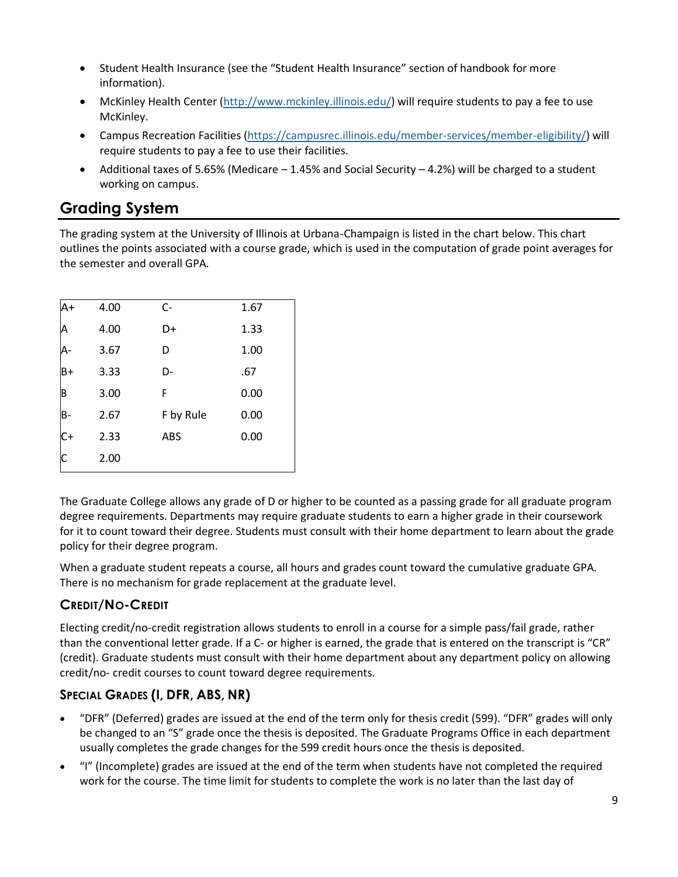- Student Health Insurance (see the "Student Health Insurance" section of handbook for more information).
- McKinley Health Center [\(http://www.mckinley.illinois.edu/\)](http://www.mckinley.illinois.edu/) will require students to pay a fee to use McKinley.
- Campus Recreation Facilities [\(https://campusrec.illinois.edu/member-services/member-eligibility/\)](https://campusrec.illinois.edu/member-services/member-eligibility/) will require students to pay a fee to use their facilities.
- Additional taxes of 5.65% (Medicare 1.45% and Social Security 4.2%) will be charged to a student working on campus.

# <span id="page-9-0"></span>**Grading System**

The grading system at the University of Illinois at Urbana-Champaign is listed in the chart below. This chart outlines the points associated with a course grade, which is used in the computation of grade point averages for the semester and overall GPA.

| A+           | 4.00 | $C-$      | 1.67 |
|--------------|------|-----------|------|
| A            | 4.00 | D+        | 1.33 |
|              | 3.67 | D         | 1.00 |
| $B+$         | 3.33 | D-        | .67  |
| B            | 3.00 | F         | 0.00 |
| B-           | 2.67 | F by Rule | 0.00 |
| $C+$         | 2.33 | ABS       | 0.00 |
| $\mathsf{C}$ | 2.00 |           |      |

The Graduate College allows any grade of D or higher to be counted as a passing grade for all graduate program degree requirements. Departments may require graduate students to earn a higher grade in their coursework for it to count toward their degree. Students must consult with their home department to learn about the grade policy for their degree program.

When a graduate student repeats a course, all hours and grades count toward the cumulative graduate GPA. There is no mechanism for grade replacement at the graduate level.

### **CREDIT/NO-CREDIT**

Electing credit/no-credit registration allows students to enroll in a course for a simple pass/fail grade, rather than the conventional letter grade. If a C- or higher is earned, the grade that is entered on the transcript is "CR" (credit). Graduate students must consult with their home department about any department policy on allowing credit/no- credit courses to count toward degree requirements.

### **SPECIAL GRADES (I, DFR, ABS, NR)**

- "DFR" (Deferred) grades are issued at the end of the term only for thesis credit (599). "DFR" grades will only be changed to an "S" grade once the thesis is deposited. The Graduate Programs Office in each department usually completes the grade changes for the 599 credit hours once the thesis is deposited.
- "I" (Incomplete) grades are issued at the end of the term when students have not completed the required work for the course. The time limit for students to complete the work is no later than the last day of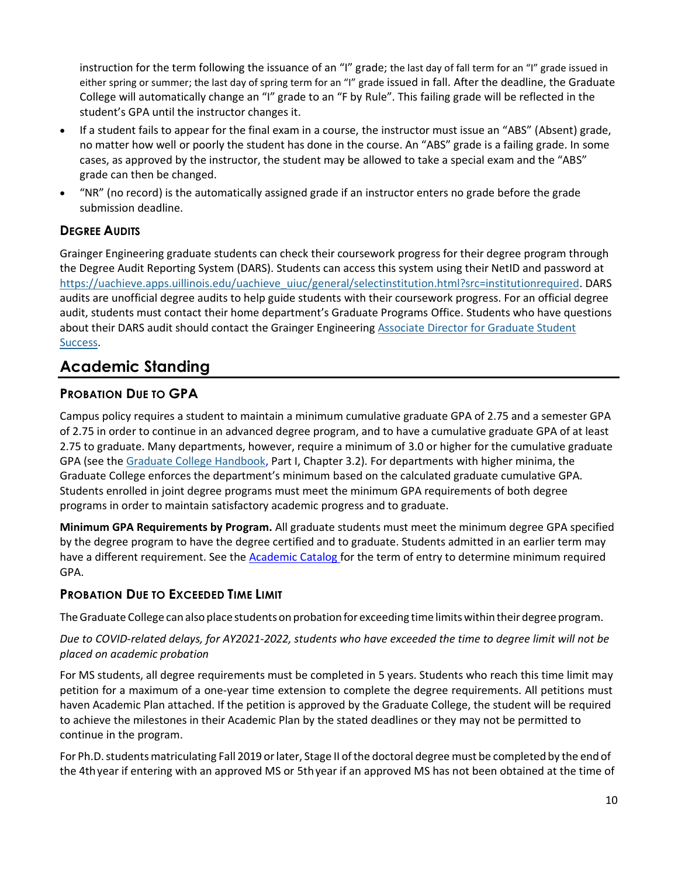instruction for the term following the issuance of an "I" grade; the last day of fall term for an "I" grade issued in either spring or summer; the last day of spring term for an "I" grade issued in fall. After the deadline, the Graduate College will automatically change an "I" grade to an "F by Rule". This failing grade will be reflected in the student's GPA until the instructor changes it.

- If a student fails to appear for the final exam in a course, the instructor must issue an "ABS" (Absent) grade, no matter how well or poorly the student has done in the course. An "ABS" grade is a failing grade. In some cases, as approved by the instructor, the student may be allowed to take a special exam and the "ABS" grade can then be changed.
- "NR" (no record) is the automatically assigned grade if an instructor enters no grade before the grade submission deadline.

### **DEGREE AUDITS**

Grainger Engineering graduate students can check their coursework progress for their degree program through the Degree Audit Reporting System (DARS). Students can access this system using their NetID and password at [https://uachieve.apps.uillinois.edu/uachieve\\_uiuc/general/selectinstitution.html?src=institutionrequired.](https://uachieve.apps.uillinois.edu/uachieve_uiuc/general/selectinstitution.html?src=institutionrequired) DARS audits are unofficial degree audits to help guide students with their coursework progress. For an official degree audit, students must contact their home department's Graduate Programs Office. Students who have questions about their DARS audit should contact the Grainger Engineering [Associate Director for Graduate Student](#page-20-2)  [Success.](#page-20-2)

### <span id="page-10-0"></span>**Academic Standing**

### **PROBATION DUE TO GPA**

Campus policy requires a student to maintain a minimum cumulative graduate GPA of 2.75 and a semester GPA of 2.75 in order to continue in an advanced degree program, and to have a cumulative graduate GPA of at least 2.75 to graduate. Many departments, however, require a minimum of 3.0 or higher for the cumulative graduate GPA (see the [Graduate College Handbook,](https://grad.illinois.edu/handbooks-policies) Part I, Chapter 3.2). For departments with higher minima, the Graduate College enforces the department's minimum based on the calculated graduate cumulative GPA. Students enrolled in joint degree programs must meet the minimum GPA requirements of both degree programs in order to maintain satisfactory academic progress and to graduate.

**Minimum GPA Requirements by Program.** All graduate students must meet the minimum degree GPA specified by the degree program to have the degree certified and to graduate. Students admitted in an earlier term may have a different requirement. See the [Academic Catalog](http://catalog.illinois.edu/graduate/) for the term of entry to determine minimum required GPA.

### **PROBATION DUE TO EXCEEDED TIME LIMIT**

The Graduate College can also place students on probation for exceeding time limits within their degree program.

#### *Due to COVID-related delays, for AY2021-2022, students who have exceeded the time to degree limit will not be placed on academic probation*

For MS students, all degree requirements must be completed in 5 years. Students who reach this time limit may petition for a maximum of a one-year time extension to complete the degree requirements. All petitions must haven Academic Plan attached. If the petition is approved by the Graduate College, the student will be required to achieve the milestones in their Academic Plan by the stated deadlines or they may not be permitted to continue in the program.

For Ph.D. students matriculating Fall 2019 or later, Stage II of the doctoral degree must be completed by the end of the 4thyear if entering with an approved MS or 5thyear if an approved MS has not been obtained at the time of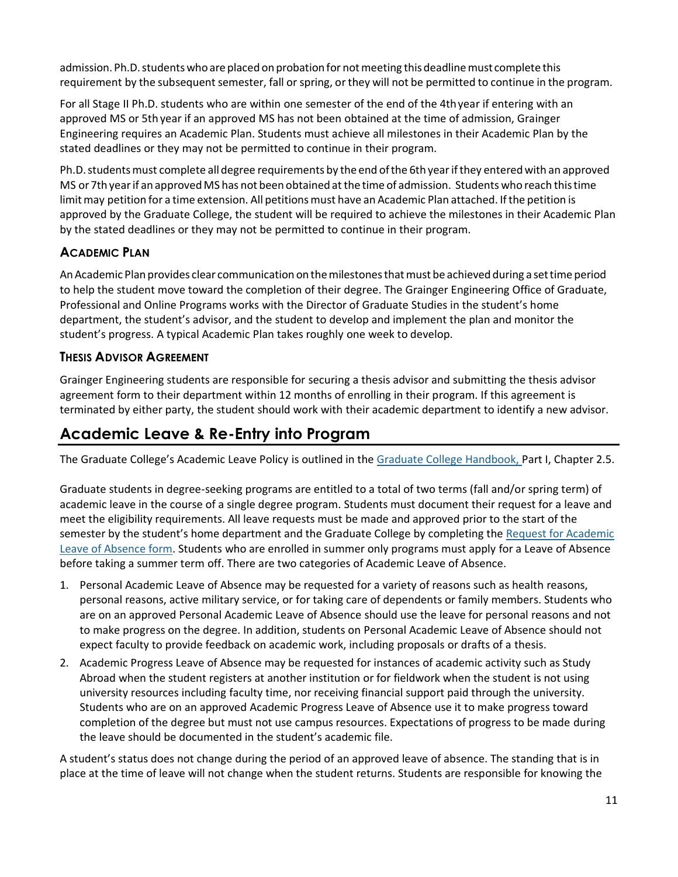admission. Ph.D. students who are placed on probation for not meeting this deadline must complete this requirement by the subsequent semester, fall or spring, or they will not be permitted to continue in the program.

For all Stage II Ph.D. students who are within one semester of the end of the 4thyear if entering with an approved MS or 5th year if an approved MS has not been obtained at the time of admission, Grainger Engineering requires an Academic Plan. Students must achieve all milestones in their Academic Plan by the stated deadlines or they may not be permitted to continue in their program.

Ph.D. students must complete all degree requirements by the end of the 6th year if they entered with an approved MS or 7th year if an approved MS has not been obtained at the time of admission. Students who reach this time limit may petition for a time extension. All petitions must have an Academic Plan attached. If the petition is approved by the Graduate College, the student will be required to achieve the milestones in their Academic Plan by the stated deadlines or they may not be permitted to continue in their program.

### **ACADEMIC PLAN**

An Academic Plan provides clear communication on the milestones that must be achieved during a set time period to help the student move toward the completion of their degree. The Grainger Engineering Office of Graduate, Professional and Online Programs works with the Director of Graduate Studies in the student's home department, the student's advisor, and the student to develop and implement the plan and monitor the student's progress. A typical Academic Plan takes roughly one week to develop.

#### **THESIS ADVISOR AGREEMENT**

Grainger Engineering students are responsible for securing a thesis advisor and submitting the thesis advisor agreement form to their department within 12 months of enrolling in their program. If this agreement is terminated by either party, the student should work with their academic department to identify a new advisor.

### <span id="page-11-0"></span>**Academic Leave & Re-Entry into Program**

The Graduate College's Academic Leave Policy is outlined in the [Graduate College Handbook,](https://grad.illinois.edu/handbooks-policies) Part I, Chapter 2.5.

Graduate students in degree-seeking programs are entitled to a total of two terms (fall and/or spring term) of academic leave in the course of a single degree program. Students must document their request for a leave and meet the eligibility requirements. All leave requests must be made and approved prior to the start of the semester by the student's home department and the Graduate College by completing the Request for Academic [Leave of Absence form.](https://grad.illinois.edu/forms) Students who are enrolled in summer only programs must apply for a Leave of Absence before taking a summer term off. There are two categories of Academic Leave of Absence.

- 1. Personal Academic Leave of Absence may be requested for a variety of reasons such as health reasons, personal reasons, active military service, or for taking care of dependents or family members. Students who are on an approved Personal Academic Leave of Absence should use the leave for personal reasons and not to make progress on the degree. In addition, students on Personal Academic Leave of Absence should not expect faculty to provide feedback on academic work, including proposals or drafts of a thesis.
- 2. Academic Progress Leave of Absence may be requested for instances of academic activity such as Study Abroad when the student registers at another institution or for fieldwork when the student is not using university resources including faculty time, nor receiving financial support paid through the university. Students who are on an approved Academic Progress Leave of Absence use it to make progress toward completion of the degree but must not use campus resources. Expectations of progress to be made during the leave should be documented in the student's academic file.

A student's status does not change during the period of an approved leave of absence. The standing that is in place at the time of leave will not change when the student returns. Students are responsible for knowing the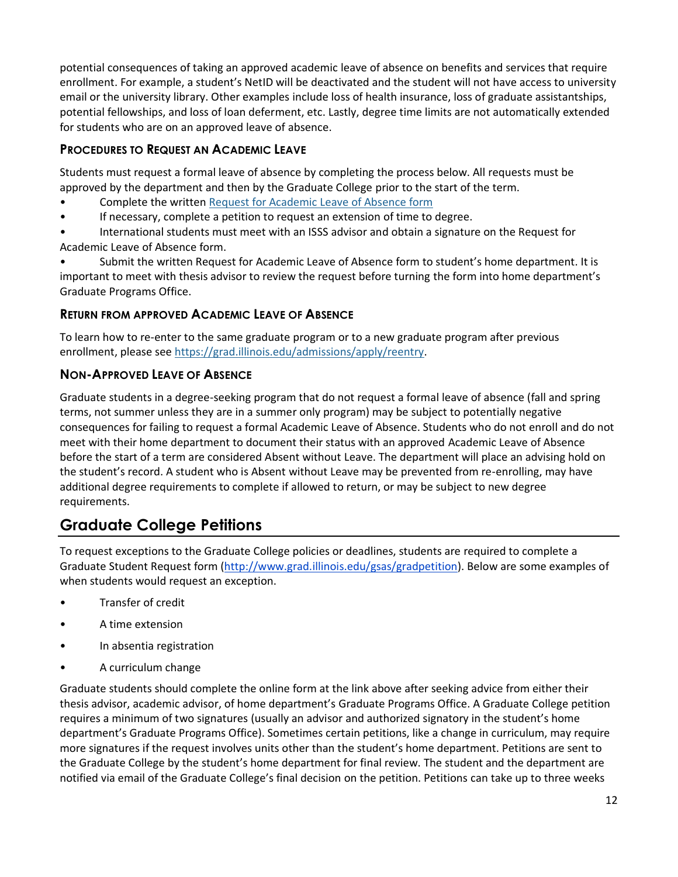potential consequences of taking an approved academic leave of absence on benefits and services that require enrollment. For example, a student's NetID will be deactivated and the student will not have access to university email or the university library. Other examples include loss of health insurance, loss of graduate assistantships, potential fellowships, and loss of loan deferment, etc. Lastly, degree time limits are not automatically extended for students who are on an approved leave of absence.

### **PROCEDURES TO REQUEST AN ACADEMIC LEAVE**

Students must request a formal leave of absence by completing the process below. All requests must be approved by the department and then by the Graduate College prior to the start of the term.

- Complete the writte[n Request for Academic Leave of Absence form](https://grad.illinois.edu/forms)
- If necessary, complete a petition to request an extension of time to degree.

• International students must meet with an ISSS advisor and obtain a signature on the Request for Academic Leave of Absence form.

Submit the written Request for Academic Leave of Absence form to student's home department. It is important to meet with thesis advisor to review the request before turning the form into home department's Graduate Programs Office.

#### **RETURN FROM APPROVED ACADEMIC LEAVE OF ABSENCE**

To learn how to re-enter to the same graduate program or to a new graduate program after previous enrollment, please see [https://grad.illinois.edu/admissions/apply/reentry.](https://grad.illinois.edu/admissions/apply/reentry)

#### **NON-APPROVED LEAVE OF ABSENCE**

Graduate students in a degree-seeking program that do not request a formal leave of absence (fall and spring terms, not summer unless they are in a summer only program) may be subject to potentially negative consequences for failing to request a formal Academic Leave of Absence. Students who do not enroll and do not meet with their home department to document their status with an approved Academic Leave of Absence before the start of a term are considered Absent without Leave. The department will place an advising hold on the student's record. A student who is Absent without Leave may be prevented from re-enrolling, may have additional degree requirements to complete if allowed to return, or may be subject to new degree requirements.

# <span id="page-12-0"></span>**Graduate College Petitions**

To request exceptions to the Graduate College policies or deadlines, students are required to complete a Graduate Student Request form [\(http://www.grad.illinois.edu/gsas/gradpetition\)](http://www.grad.illinois.edu/gsas/gradpetition). Below are some examples of when students would request an exception.

- Transfer of credit
- A time extension
- In absentia registration
- A curriculum change

Graduate students should complete the online form at the link above after seeking advice from either their thesis advisor, academic advisor, of home department's Graduate Programs Office. A Graduate College petition requires a minimum of two signatures (usually an advisor and authorized signatory in the student's home department's Graduate Programs Office). Sometimes certain petitions, like a change in curriculum, may require more signatures if the request involves units other than the student's home department. Petitions are sent to the Graduate College by the student's home department for final review. The student and the department are notified via email of the Graduate College's final decision on the petition. Petitions can take up to three weeks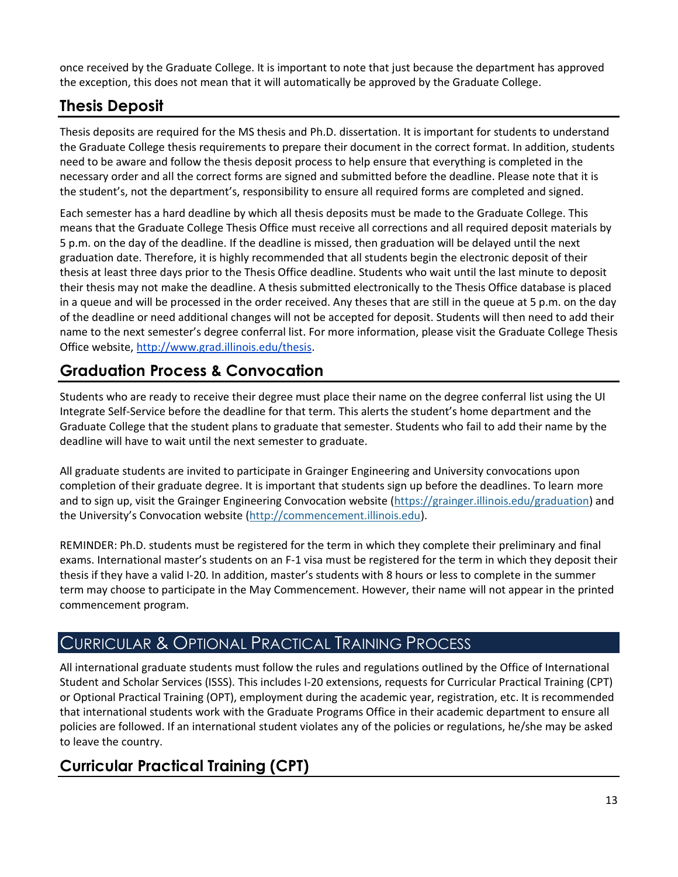once received by the Graduate College. It is important to note that just because the department has approved the exception, this does not mean that it will automatically be approved by the Graduate College.

# <span id="page-13-0"></span>**Thesis Deposit**

Thesis deposits are required for the MS thesis and Ph.D. dissertation. It is important for students to understand the Graduate College thesis requirements to prepare their document in the correct format. In addition, students need to be aware and follow the thesis deposit process to help ensure that everything is completed in the necessary order and all the correct forms are signed and submitted before the deadline. Please note that it is the student's, not the department's, responsibility to ensure all required forms are completed and signed.

Each semester has a hard deadline by which all thesis deposits must be made to the Graduate College. This means that the Graduate College Thesis Office must receive all corrections and all required deposit materials by 5 p.m. on the day of the deadline. If the deadline is missed, then graduation will be delayed until the next graduation date. Therefore, it is highly recommended that all students begin the electronic deposit of their thesis at least three days prior to the Thesis Office deadline. Students who wait until the last minute to deposit their thesis may not make the deadline. A thesis submitted electronically to the Thesis Office database is placed in a queue and will be processed in the order received. Any theses that are still in the queue at 5 p.m. on the day of the deadline or need additional changes will not be accepted for deposit. Students will then need to add their name to the next semester's degree conferral list. For more information, please visit the Graduate College Thesis Office website, [http://www.grad.illinois.edu/thesis.](http://www.grad.illinois.edu/thesis)

# <span id="page-13-1"></span>**Graduation Process & Convocation**

Students who are ready to receive their degree must place their name on the degree conferral list using the UI Integrate Self-Service before the deadline for that term. This alerts the student's home department and the Graduate College that the student plans to graduate that semester. Students who fail to add their name by the deadline will have to wait until the next semester to graduate.

All graduate students are invited to participate in Grainger Engineering and University convocations upon completion of their graduate degree. It is important that students sign up before the deadlines. To learn more and to sign up, visit the Grainger Engineering Convocation website [\(https://grainger.illinois.edu/graduation\)](https://grainger.illinois.edu/graduation) and the University's Convocation website ([http://commencement.illinois.edu\)](http://commencement.illinois.edu/).

REMINDER: Ph.D. students must be registered for the term in which they complete their preliminary and final exams. International master's students on an F-1 visa must be registered for the term in which they deposit their thesis if they have a valid I-20. In addition, master's students with 8 hours or less to complete in the summer term may choose to participate in the May Commencement. However, their name will not appear in the printed commencement program.

# <span id="page-13-2"></span>CURRICULAR & OPTIONAL PRACTICAL TRAINING PROCESS

All international graduate students must follow the rules and regulations outlined by the Office of International Student and Scholar Services (ISSS). This includes I-20 extensions, requests for Curricular Practical Training (CPT) or Optional Practical Training (OPT), employment during the academic year, registration, etc. It is recommended that international students work with the Graduate Programs Office in their academic department to ensure all policies are followed. If an international student violates any of the policies or regulations, he/she may be asked to leave the country.

# <span id="page-13-3"></span>**Curricular Practical Training (CPT)**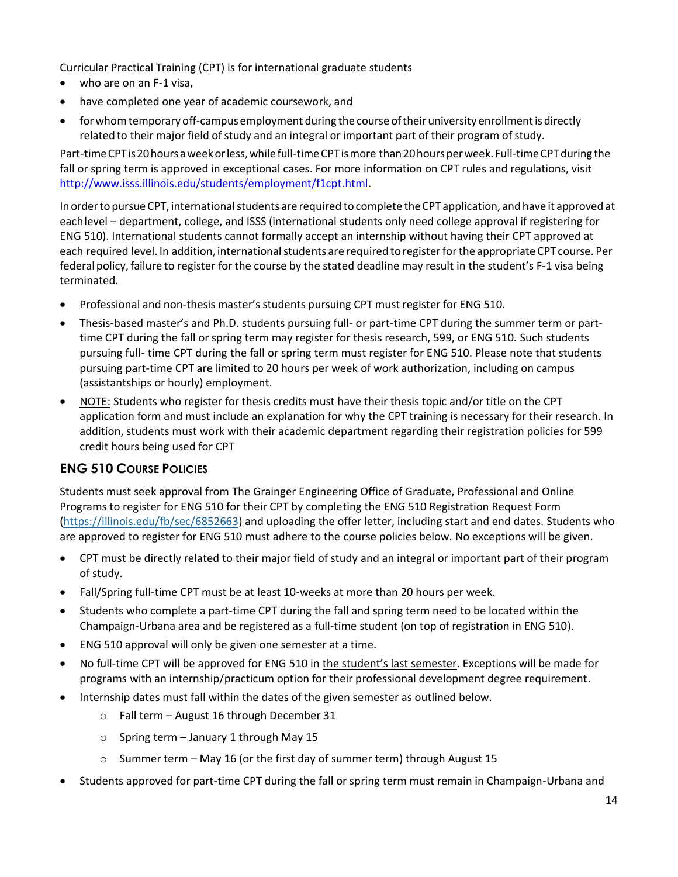Curricular Practical Training (CPT) is for international graduate students

- who are on an F-1 visa,
- have completed one year of academic coursework, and
- for whom temporary off-campus employment during the course of their university enrollment is directly related to their major field of study and an integral or important part of their program of study.

Part-timeCPTis20hoursaweekorless,whilefull-timeCPTismore than20hoursperweek.Full-timeCPTduring the fall or spring term is approved in exceptional cases. For more information on CPT rules and regulations, visit [http://www.isss.illinois.edu/students/employment/f1cpt.html.](http://www.isss.illinois.edu/students/employment/f1cpt.html)

In orderto pursue CPT, internationalstudents are required to complete theCPT application, and have it approved at eachlevel – department, college, and ISSS (international students only need college approval if registering for ENG 510). International students cannot formally accept an internship without having their CPT approved at each required level. In addition, international students are required to register for the appropriate CPT course. Per federal policy,failure to register for the course by the stated deadline may result in the student's F-1 visa being terminated.

- Professional and non-thesis master's students pursuing CPT must register for ENG 510.
- Thesis-based master's and Ph.D. students pursuing full- or part-time CPT during the summer term or parttime CPT during the fall or spring term may register for thesis research, 599, or ENG 510. Such students pursuing full- time CPT during the fall or spring term must register for ENG 510. Please note that students pursuing part-time CPT are limited to 20 hours per week of work authorization, including on campus (assistantships or hourly) employment.
- NOTE: Students who register for thesis credits must have their thesis topic and/or title on the CPT application form and must include an explanation for why the CPT training is necessary for their research. In addition, students must work with their academic department regarding their registration policies for 599 credit hours being used for CPT

### **ENG 510 COURSE POLICIES**

Students must seek approval from The Grainger Engineering Office of Graduate, Professional and Online Programs to register for ENG 510 for their CPT by completing the ENG 510 Registration Request Form [\(https://illinois.edu/fb/sec/6852663\)](https://illinois.edu/fb/sec/6852663) and uploading the offer letter, including start and end dates. Students who are approved to register for ENG 510 must adhere to the course policies below. No exceptions will be given.

- CPT must be directly related to their major field of study and an integral or important part of their program of study.
- Fall/Spring full-time CPT must be at least 10-weeks at more than 20 hours per week.
- Students who complete a part-time CPT during the fall and spring term need to be located within the Champaign-Urbana area and be registered as a full-time student (on top of registration in ENG 510).
- ENG 510 approval will only be given one semester at a time.
- No full-time CPT will be approved for ENG 510 in the student's last semester. Exceptions will be made for programs with an internship/practicum option for their professional development degree requirement.
- Internship dates must fall within the dates of the given semester as outlined below.
	- o Fall term August 16 through December 31
	- $\circ$  Spring term January 1 through May 15
	- o Summer term May 16 (or the first day of summer term) through August 15
- Students approved for part-time CPT during the fall or spring term must remain in Champaign-Urbana and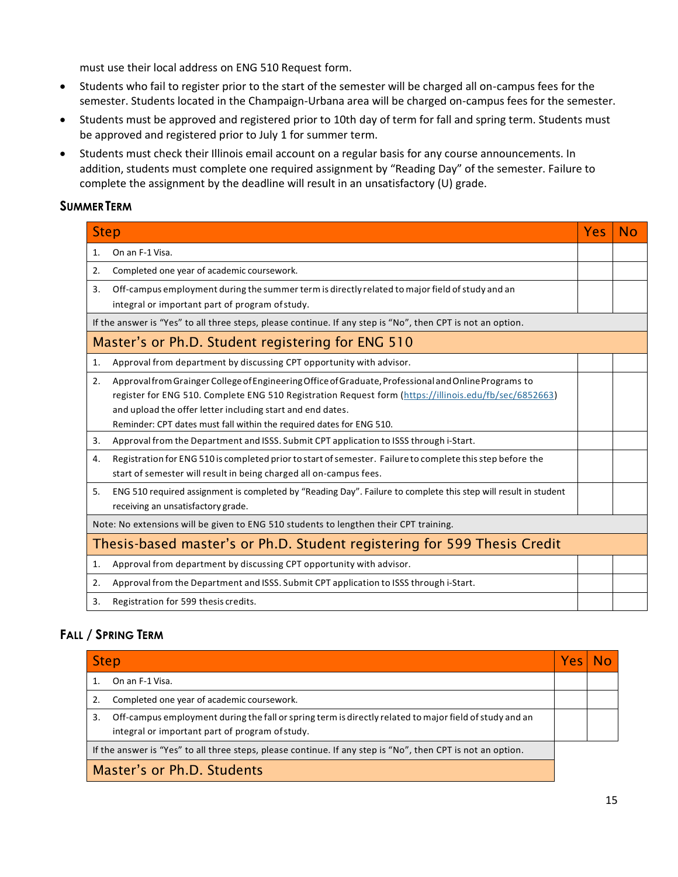must use their local address on ENG 510 Request form.

- Students who fail to register prior to the start of the semester will be charged all on-campus fees for the semester. Students located in the Champaign-Urbana area will be charged on-campus fees for the semester.
- Students must be approved and registered prior to 10th day of term for fall and spring term. Students must be approved and registered prior to July 1 for summer term.
- Students must check their Illinois email account on a regular basis for any course announcements. In addition, students must complete one required assignment by "Reading Day" of the semester. Failure to complete the assignment by the deadline will result in an unsatisfactory (U) grade.

#### **SUMMERTERM**

| <b>Step</b> |                                                                                                                                                                                                                                                                                                                                                       | <b>Yes</b> | No |  |
|-------------|-------------------------------------------------------------------------------------------------------------------------------------------------------------------------------------------------------------------------------------------------------------------------------------------------------------------------------------------------------|------------|----|--|
| 1.          | On an F-1 Visa.                                                                                                                                                                                                                                                                                                                                       |            |    |  |
| 2.          | Completed one year of academic coursework.                                                                                                                                                                                                                                                                                                            |            |    |  |
| 3.          | Off-campus employment during the summer term is directly related to major field of study and an<br>integral or important part of program of study.                                                                                                                                                                                                    |            |    |  |
|             | If the answer is "Yes" to all three steps, please continue. If any step is "No", then CPT is not an option.                                                                                                                                                                                                                                           |            |    |  |
|             | Master's or Ph.D. Student registering for ENG 510                                                                                                                                                                                                                                                                                                     |            |    |  |
| 1.          | Approval from department by discussing CPT opportunity with advisor.                                                                                                                                                                                                                                                                                  |            |    |  |
| 2.          | Approval from Grainger College of Engineering Office of Graduate, Professional and Online Programs to<br>register for ENG 510. Complete ENG 510 Registration Request form (https://illinois.edu/fb/sec/6852663)<br>and upload the offer letter including start and end dates.<br>Reminder: CPT dates must fall within the required dates for ENG 510. |            |    |  |
| 3.          | Approval from the Department and ISSS. Submit CPT application to ISSS through i-Start.                                                                                                                                                                                                                                                                |            |    |  |
| 4.          | Registration for ENG 510 is completed prior to start of semester. Failure to complete this step before the<br>start of semester will result in being charged all on-campus fees.                                                                                                                                                                      |            |    |  |
| 5.          | ENG 510 required assignment is completed by "Reading Day". Failure to complete this step will result in student<br>receiving an unsatisfactory grade.                                                                                                                                                                                                 |            |    |  |
|             | Note: No extensions will be given to ENG 510 students to lengthen their CPT training.                                                                                                                                                                                                                                                                 |            |    |  |
|             | Thesis-based master's or Ph.D. Student registering for 599 Thesis Credit                                                                                                                                                                                                                                                                              |            |    |  |
| 1.          | Approval from department by discussing CPT opportunity with advisor.                                                                                                                                                                                                                                                                                  |            |    |  |
| 2.          | Approval from the Department and ISSS. Submit CPT application to ISSS through i-Start.                                                                                                                                                                                                                                                                |            |    |  |
| 3.          | Registration for 599 thesis credits.                                                                                                                                                                                                                                                                                                                  |            |    |  |

### **FALL / SPRING TERM**

| <b>Step</b>                                                                                                 |                                                                                                                                                            | Yes |  |
|-------------------------------------------------------------------------------------------------------------|------------------------------------------------------------------------------------------------------------------------------------------------------------|-----|--|
|                                                                                                             | On an F-1 Visa.                                                                                                                                            |     |  |
| 2.                                                                                                          | Completed one year of academic coursework.                                                                                                                 |     |  |
| 3.                                                                                                          | Off-campus employment during the fall or spring term is directly related to major field of study and an<br>integral or important part of program of study. |     |  |
| If the answer is "Yes" to all three steps, please continue. If any step is "No", then CPT is not an option. |                                                                                                                                                            |     |  |
| Master's or Ph.D. Students                                                                                  |                                                                                                                                                            |     |  |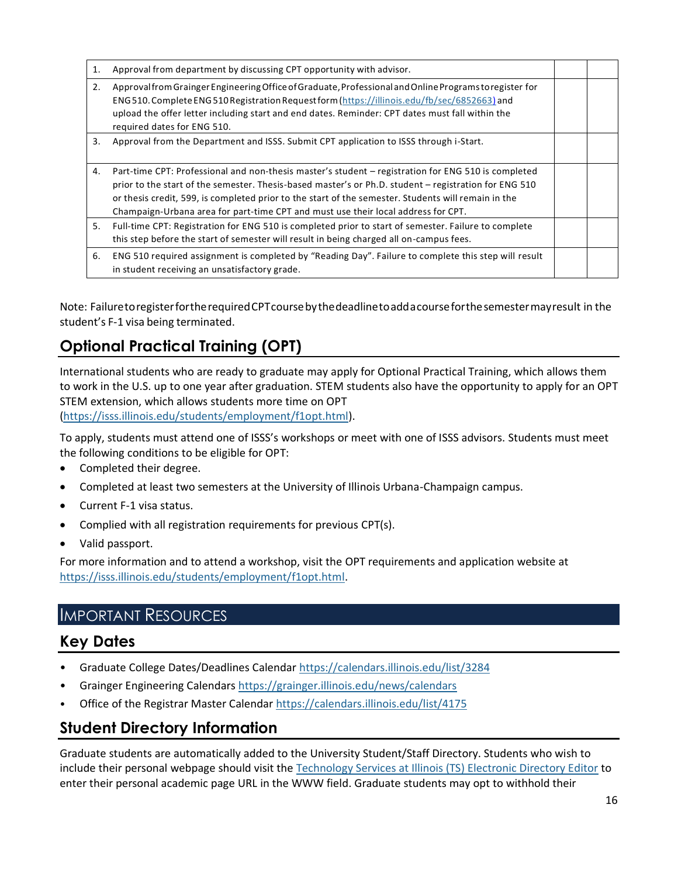| 1. | Approval from department by discussing CPT opportunity with advisor.                                                                                                                                                                                                                                                                                                                                     |  |
|----|----------------------------------------------------------------------------------------------------------------------------------------------------------------------------------------------------------------------------------------------------------------------------------------------------------------------------------------------------------------------------------------------------------|--|
| 2. | Approval from Grainger Engineering Office of Graduate, Professional and Online Programs to register for<br>ENG510. Complete ENG510 Registration Request form (https://illinois.edu/fb/sec/6852663) and<br>upload the offer letter including start and end dates. Reminder: CPT dates must fall within the<br>required dates for ENG 510.                                                                 |  |
| 3. | Approval from the Department and ISSS. Submit CPT application to ISSS through i-Start.                                                                                                                                                                                                                                                                                                                   |  |
| 4. | Part-time CPT: Professional and non-thesis master's student – registration for ENG 510 is completed<br>prior to the start of the semester. Thesis-based master's or Ph.D. student – registration for ENG 510<br>or thesis credit, 599, is completed prior to the start of the semester. Students will remain in the<br>Champaign-Urbana area for part-time CPT and must use their local address for CPT. |  |
| 5. | Full-time CPT: Registration for ENG 510 is completed prior to start of semester. Failure to complete<br>this step before the start of semester will result in being charged all on-campus fees.                                                                                                                                                                                                          |  |
| 6. | ENG 510 required assignment is completed by "Reading Day". Failure to complete this step will result<br>in student receiving an unsatisfactory grade.                                                                                                                                                                                                                                                    |  |

Note: FailuretoregisterfortherequiredCPTcoursebythedeadlinetoaddacourseforthesemestermayresult in the student's F-1 visa being terminated.

# <span id="page-16-0"></span>**Optional Practical Training (OPT)**

International students who are ready to graduate may apply for Optional Practical Training, which allows them to work in the U.S. up to one year after graduation. STEM students also have the opportunity to apply for an OPT STEM extension, which allows students more time on OPT

[\(https://isss.illinois.edu/students/employment/f1opt.html\)](https://isss.illinois.edu/students/employment/f1opt.html).

To apply, students must attend one of ISSS's workshops or meet with one of ISSS advisors. Students must meet the following conditions to be eligible for OPT:

- Completed their degree.
- Completed at least two semesters at the University of Illinois Urbana-Champaign campus.
- Current F-1 visa status.
- Complied with all registration requirements for previous CPT(s).
- Valid passport.

For more information and to attend a workshop, visit the OPT requirements and application website at [https://isss.illinois.edu/students/employment/f1opt.html.](https://isss.illinois.edu/students/employment/f1opt.html)

### <span id="page-16-1"></span>IMPORTANT RESOURCES

### <span id="page-16-2"></span>**Key Dates**

- Graduate College Dates/Deadlines Calendar<https://calendars.illinois.edu/list/3284>
- Grainger Engineering Calendars<https://grainger.illinois.edu/news/calendars>
- Office of the Registrar Master Calendar<https://calendars.illinois.edu/list/4175>

### <span id="page-16-3"></span>**Student Directory Information**

Graduate students are automatically added to the University Student/Staff Directory. Students who wish to include their personal webpage should visit the [Technology Services at Illinois \(TS\) Electronic Directory Editor](https://ede.cites.illinois.edu/) to enter their personal academic page URL in the WWW field. Graduate students may opt to withhold their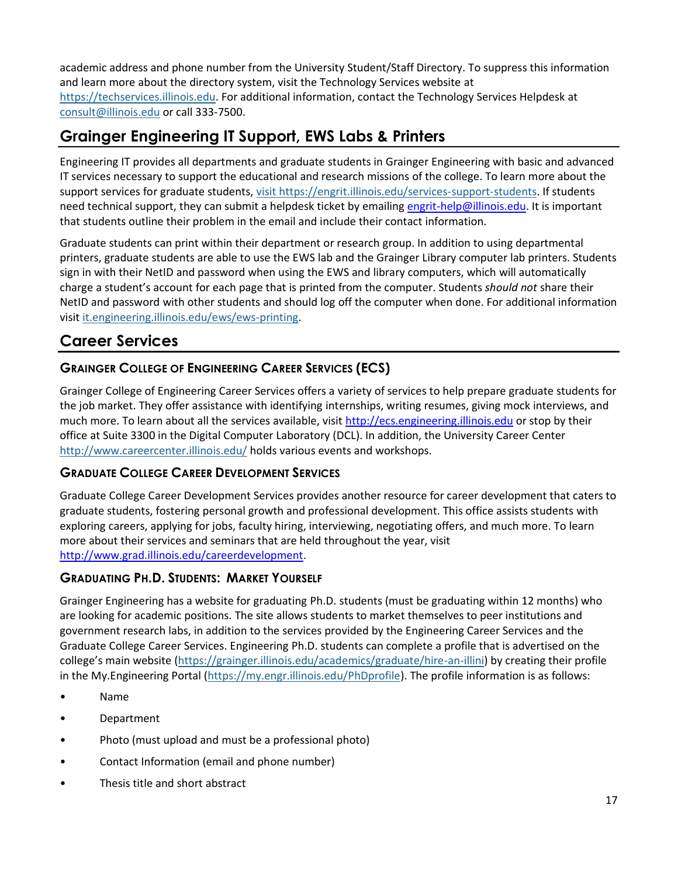academic address and phone number from the University Student/Staff Directory. To suppress this information and learn more about the directory system, visit the Technology Services website at [https://techservices.illinois.edu.](https://techservices.illinois.edu/) For additional information, contact the Technology Services Helpdesk at [consult@illinois.edu](mailto:consult@illinois.edu) or call 333-7500.

# <span id="page-17-0"></span>**Grainger Engineering IT Support, EWS Labs & Printers**

Engineering IT provides all departments and graduate students in Grainger Engineering with basic and advanced IT services necessary to support the educational and research missions of the college. To learn more about the support services for graduate students, visit [https://engrit.illinois.edu/services-support-students.](https://engrit.illinois.edu/services-support-students) If students need technical support, they can submit a helpdesk ticket by emailing [engrit-help@illinois.edu.](mailto:engrit-help@illinois.edu) It is important that students outline their problem in the email and include their contact information.

Graduate students can print within their department or research group. In addition to using departmental printers, graduate students are able to use the EWS lab and the Grainger Library computer lab printers. Students sign in with their NetID and password when using the EWS and library computers, which will automatically charge a student's account for each page that is printed from the computer. Students *should not* share their NetID and password with other students and should log off the computer when done. For additional information visit [it.engineering.illinois.edu/ews/ews-printing.](https://it.engineering.illinois.edu/ews/ews-printing)

### <span id="page-17-1"></span>**Career Services**

### **GRAINGER COLLEGE OF ENGINEERING CAREER SERVICES (ECS)**

Grainger College of Engineering Career Services offers a variety of services to help prepare graduate students for the job market. They offer assistance with identifying internships, writing resumes, giving mock interviews, and much more. To learn about all the services available, visit [http://ecs.engineering.illinois.edu](http://ecs.engineering.illinois.edu/) or stop by their office at Suite 3300 in the Digital Computer Laboratory (DCL). In addition, the University Career Center <http://www.careercenter.illinois.edu/> holds various events and workshops.

#### **GRADUATE COLLEGE CAREER DEVELOPMENT SERVICES**

Graduate College Career Development Services provides another resource for career development that caters to graduate students, fostering personal growth and professional development. This office assists students with exploring careers, applying for jobs, faculty hiring, interviewing, negotiating offers, and much more. To learn more about their services and seminars that are held throughout the year, visit [http://www.grad.illinois.edu/careerdevelopment.](http://www.grad.illinois.edu/careerdevelopment)

### **GRADUATING PH.D. STUDENTS: MARKET YOURSELF**

Grainger Engineering has a website for graduating Ph.D. students (must be graduating within 12 months) who are looking for academic positions. The site allows students to market themselves to peer institutions and government research labs, in addition to the services provided by the Engineering Career Services and the Graduate College Career Services. Engineering Ph.D. students can complete a profile that is advertised on the college's main website [\(https://grainger.illinois.edu/academics/graduate/hire-an-illini\)](https://grainger.illinois.edu/academics/graduate/hire-an-illini) by creating their profile in the My.Engineering Portal [\(https://my.engr.illinois.edu/PhDprofile\)](https://my.engr.illinois.edu/PhDprofile). The profile information is as follows:

- Name
- Department
- Photo (must upload and must be a professional photo)
- Contact Information (email and phone number)
- Thesis title and short abstract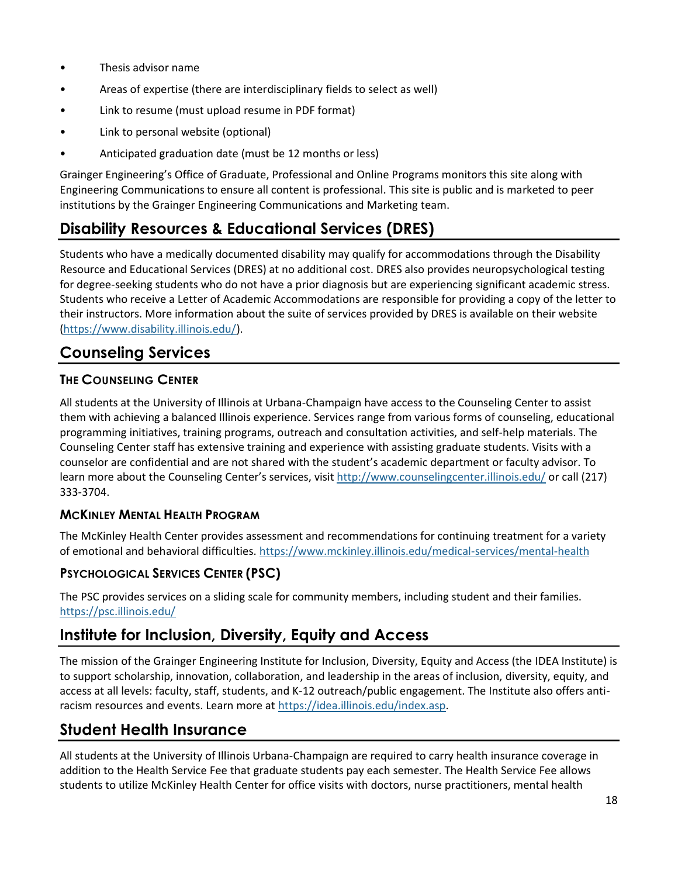- Thesis advisor name
- Areas of expertise (there are interdisciplinary fields to select as well)
- Link to resume (must upload resume in PDF format)
- Link to personal website (optional)
- Anticipated graduation date (must be 12 months or less)

Grainger Engineering's Office of Graduate, Professional and Online Programs monitors this site along with Engineering Communications to ensure all content is professional. This site is public and is marketed to peer institutions by the Grainger Engineering Communications and Marketing team.

# <span id="page-18-0"></span>**Disability Resources & Educational Services (DRES)**

Students who have a medically documented disability may qualify for accommodations through the Disability Resource and Educational Services (DRES) at no additional cost. DRES also provides neuropsychological testing for degree-seeking students who do not have a prior diagnosis but are experiencing significant academic stress. Students who receive a Letter of Academic Accommodations are responsible for providing a copy of the letter to their instructors. More information about the suite of services provided by DRES is available on their website [\(https://www.disability.illinois.edu/\)](https://www.disability.illinois.edu/).

# <span id="page-18-1"></span>**Counseling Services**

### **THE COUNSELING CENTER**

All students at the University of Illinois at Urbana-Champaign have access to the Counseling Center to assist them with achieving a balanced Illinois experience. Services range from various forms of counseling, educational programming initiatives, training programs, outreach and consultation activities, and self-help materials. The Counseling Center staff has extensive training and experience with assisting graduate students. Visits with a counselor are confidential and are not shared with the student's academic department or faculty advisor. To learn more about the Counseling Center's services, visit <http://www.counselingcenter.illinois.edu/> or call (217) 333-3704.

#### **MCKINLEY MENTAL HEALTH PROGRAM**

The McKinley Health Center provides assessment and recommendations for continuing treatment for a variety of emotional and behavioral difficulties.<https://www.mckinley.illinois.edu/medical-services/mental-health>

### **PSYCHOLOGICAL SERVICES CENTER (PSC)**

The PSC provides services on a sliding scale for community members, including student and their families. <https://psc.illinois.edu/>

# <span id="page-18-2"></span>**Institute for Inclusion, Diversity, Equity and Access**

The mission of the Grainger Engineering Institute for Inclusion, Diversity, Equity and Access (the IDEA Institute) is to support scholarship, innovation, collaboration, and leadership in the areas of inclusion, diversity, equity, and access at all levels: faculty, staff, students, and K-12 outreach/public engagement. The Institute also offers antiracism resources and events. Learn more at [https://idea.illinois.edu/index.asp.](https://idea.illinois.edu/index.asp)

# <span id="page-18-3"></span>**Student Health Insurance**

All students at the University of Illinois Urbana-Champaign are required to carry health insurance coverage in addition to the Health Service Fee that graduate students pay each semester. The Health Service Fee allows students to utilize McKinley Health Center for office visits with doctors, nurse practitioners, mental health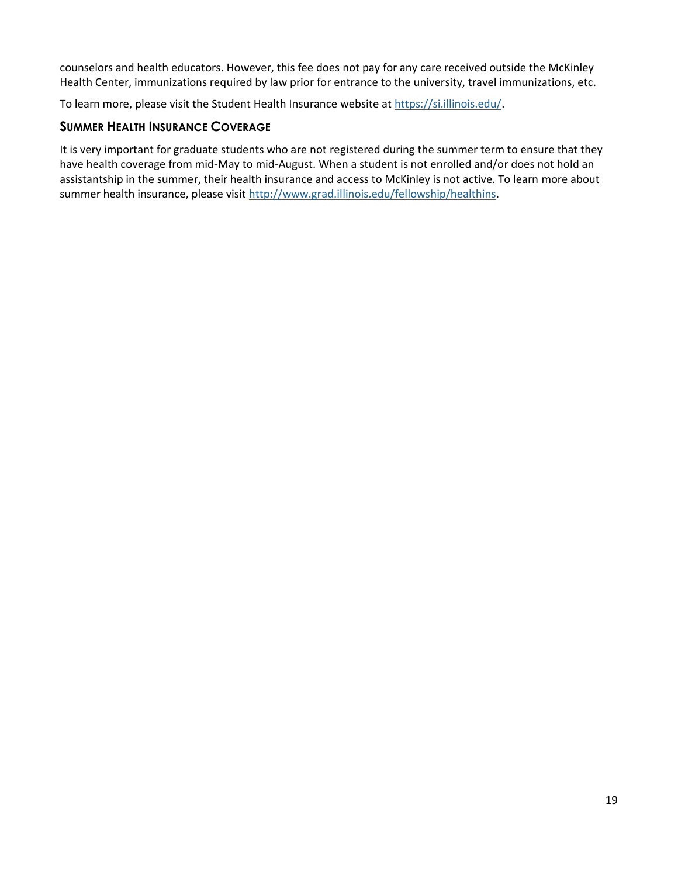counselors and health educators. However, this fee does not pay for any care received outside the McKinley Health Center, immunizations required by law prior for entrance to the university, travel immunizations, etc.

To learn more, please visit the Student Health Insurance website at [https://si.illinois.edu/.](https://si.illinois.edu/)

#### **SUMMER HEALTH INSURANCE COVERAGE**

It is very important for graduate students who are not registered during the summer term to ensure that they have health coverage from mid-May to mid-August. When a student is not enrolled and/or does not hold an assistantship in the summer, their health insurance and access to McKinley is not active. To learn more about summer health insurance, please visit [http://www.grad.illinois.edu/fellowship/healthins.](http://www.grad.illinois.edu/fellowship/healthins)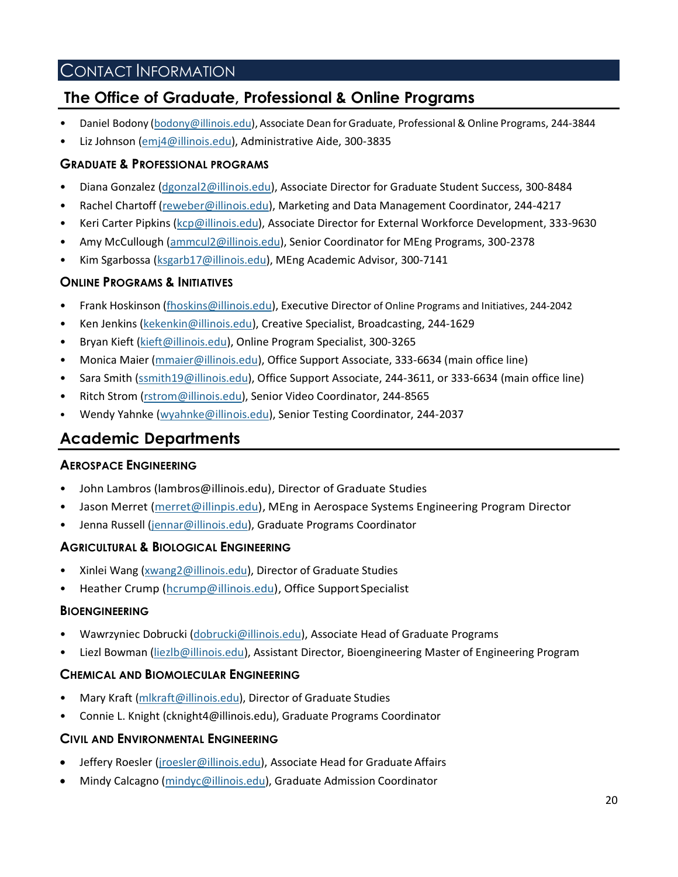### CONTACT INFORMATION

### <span id="page-20-2"></span><span id="page-20-0"></span>**The Office of Graduate, Professional & Online Programs**

- Daniel Bodony [\(bodony@illinois.edu\)](mailto:bodony@illinois.edu), Associate Dean forGraduate, Professional & Online Programs, 244-3844
- Liz Johnson [\(emj4@illinois.edu\)](mailto:emj4@illinois.edu), Administrative Aide, 300-3835

#### **GRADUATE & PROFESSIONAL PROGRAMS**

- Diana Gonzalez [\(dgonzal2@illinois.edu\)](mailto:dgonzal2@illinois.edu), Associate Director for Graduate Student Success, 300-8484
- Rachel Chartoff [\(reweber@illinois.edu\)](mailto:reweber@illinois.edu), Marketing and Data Management Coordinator, 244-4217
- Keri Carter Pipkins [\(kcp@illinois.edu\)](mailto:kcp@illinois.edu), Associate Director for External Workforce Development, 333-9630
- Amy McCullough [\(ammcul2@illinois.edu\)](mailto:ammcul2@illinois.edu), Senior Coordinator for MEng Programs, 300-2378
- Kim Sgarbossa [\(ksgarb17@illinois.edu\)](mailto:ksgarb17@illinois.edu), MEng Academic Advisor, 300-7141

#### **ONLINE PROGRAMS & INITIATIVES**

- Frank Hoskinson [\(fhoskins@illinois.edu\)](http://fhoskins@illinois.edu/), Executive Director of Online Programs and Initiatives, 244-2042
- Ken Jenkins [\(kekenkin@illinois.edu\)](mailto:kekenkin@illinois.edu), Creative Specialist, Broadcasting, 244-1629
- Bryan Kieft [\(kieft@illinois.edu\)](mailto:kieft@illinois.edu), Online Program Specialist, 300-3265
- Monica Maier [\(mmaier@illinois.edu\)](mailto:mmaier@illinois.edu), Office Support Associate, 333-6634 (main office line)
- Sara Smith [\(ssmith19@illinois.edu\)](mailto:ssmith19@illinois.edu), Office Support Associate, 244-3611, or 333-6634 (main office line)
- Ritch Strom [\(rstrom@illinois.edu\)](mailto:rstrom@illinois.edu), Senior Video Coordinator, 244-8565
- Wendy Yahnke [\(wyahnke@illinois.edu\)](mailto:wyahnke@illinois.edu), Senior Testing Coordinator, 244-2037

### <span id="page-20-1"></span>**Academic Departments**

#### **AEROSPACE ENGINEERING**

- John Lambros (lambros@illinois.edu), Director of Graduate Studies
- Jason Merret [\(merret@illinpis.edu\)](mailto:merret@illinpis.edu), MEng in Aerospace Systems Engineering Program Director
- Jenna Russell [\(jennar@illinois.edu\)](mailto:jennar@illinois.edu), Graduate Programs Coordinator

#### **AGRICULTURAL & BIOLOGICAL ENGINEERING**

- Xinlei Wang [\(xwang2@illinois.edu\)](mailto:xwang2@illinois.edu), Director of Graduate Studies
- Heather Crump [\(hcrump@illinois.edu\)](mailto:hcrump@illinois.edu), Office Support Specialist

#### **BIOENGINEERING**

- Wawrzyniec Dobrucki [\(dobrucki@illinois.edu\)](mailto:dobrucki@illinois.edu), Associate Head of Graduate Programs
- Liezl Bowman [\(liezlb@illinois.edu\)](mailto:liezlb@illinois.edu), Assistant Director, Bioengineering Master of Engineering Program

#### **CHEMICAL AND BIOMOLECULAR ENGINEERING**

- Mary Kraft [\(mlkraft@illinois.edu\)](mailto:mlkraft@illinois.edu), Director of Graduate Studies
- Connie L. Knight (cknight4@illinois.edu), Graduate Programs Coordinator

#### **CIVIL AND ENVIRONMENTAL ENGINEERING**

- Jeffery Roesler [\(jroesler@illinois.edu\)](mailto:jroesler@illinois.edu), Associate Head for Graduate Affairs
- Mindy Calcagno [\(mindyc@illinois.edu\)](mailto:mindyc@illinois.edu), Graduate Admission Coordinator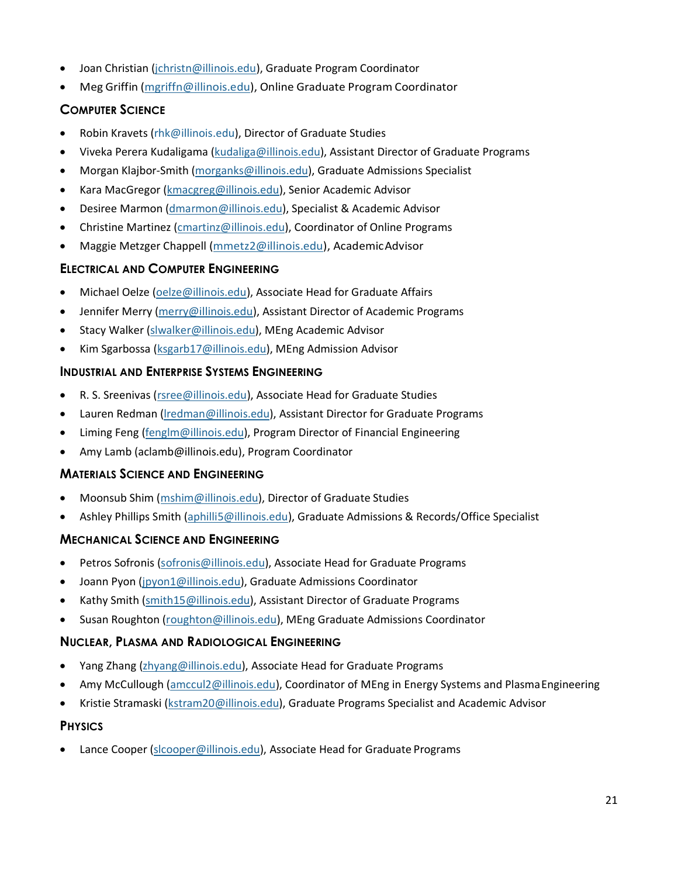- Joan Christian [\(jchristn@illinois.edu\)](mailto:jchristn@illinois.edu), Graduate Program Coordinator
- Meg Griffin [\(mgriffn@illinois.edu\)](mailto:mgriffn@illinois.edu), Online Graduate Program Coordinator

### **COMPUTER SCIENCE**

- Robin Kravets [\(rhk@illinois.edu\)](http://rhk@illinois.edu/), Director of Graduate Studies
- Viveka Perera Kudaligama [\(kudaliga@illinois.edu\)](mailto:kudaliga@illinois.edu), Assistant Director of Graduate Programs
- Morgan Klajbor-Smith [\(morganks@illinois.edu\)](mailto:morganks@illinois.edu), Graduate Admissions Specialist
- Kara MacGregor [\(kmacgreg@illinois.edu\)](mailto:kmacgreg@illinois.edu), Senior Academic Advisor
- Desiree Marmon [\(dmarmon@illinois.edu\)](mailto:dmarmon@illinois.edu), Specialist & Academic Advisor
- Christine Martinez [\(cmartinz@illinois.edu\)](mailto:cmartinz@illinois.edu), Coordinator of Online Programs
- Maggie Metzger Chappell [\(mmetz2@illinois.edu\)](mailto:mmetz2@illinois.edu), AcademicAdvisor

### **ELECTRICAL AND COMPUTER ENGINEERING**

- Michael Oelze [\(oelze@illinois.edu\)](mailto:oelze@illinois.edu), Associate Head for Graduate Affairs
- Jennifer Merry [\(merry@illinois.edu\)](mailto:merry@illinois.edu), Assistant Director of Academic Programs
- Stacy Walker [\(slwalker@illinois.edu\)](mailto:slwalker@illinois.edu), MEng Academic Advisor
- Kim Sgarbossa [\(ksgarb17@illinois.edu\)](mailto:ksgarb17@illinois.edu), MEng Admission Advisor

#### **INDUSTRIAL AND ENTERPRISE SYSTEMS ENGINEERING**

- R. S. Sreenivas [\(rsree@illinois.edu\)](mailto:rsree@illinois.edu), Associate Head for Graduate Studies
- Lauren Redman [\(lredman@illinois.edu\)](mailto:lredman@illinois.edu), Assistant Director for Graduate Programs
- Liming Feng [\(fenglm@illinois.edu\)](mailto:fenglm@illinois.edu), Program Director of Financial Engineering
- Amy Lamb (aclamb@illinois.edu), Program Coordinator

#### **MATERIALS SCIENCE AND ENGINEERING**

- Moonsub Shim [\(mshim@illinois.edu\)](mailto:mshim@illinois.edu), Director of Graduate Studies
- Ashley Phillips Smith [\(aphilli5@illinois.edu\)](mailto:aphilli5@illinois.edu), Graduate Admissions & Records/Office Specialist

#### **MECHANICAL SCIENCE AND ENGINEERING**

- Petros Sofronis [\(sofronis@illinois.edu\)](mailto:sofronis@illinois.edu), Associate Head for Graduate Programs
- Joann Pyon [\(jpyon1@illinois.edu\)](mailto:jpyon1@illinois.edu), Graduate Admissions Coordinator
- Kathy Smith [\(smith15@illinois.edu\)](mailto:smith15@illinois.edu), Assistant Director of Graduate Programs
- Susan Roughton [\(roughton@illinois.edu\)](mailto:roughton@illinois.edu), MEng Graduate Admissions Coordinator

#### **NUCLEAR, PLASMA AND RADIOLOGICAL ENGINEERING**

- Yang Zhang [\(zhyang@illinois.edu\)](mailto:zhyang@illinois.edu), Associate Head for Graduate Programs
- Amy McCullough [\(amccul2@illinois.edu\)](mailto:amccul2@illinois.edu), Coordinator of MEng in Energy Systems and Plasma Engineering
- Kristie Stramaski [\(kstram20@illinois.edu\)](mailto:kstram20@illinois.edu), Graduate Programs Specialist and Academic Advisor

#### **PHYSICS**

Lance Cooper [\(slcooper@illinois.edu\)](mailto:slcooper@illinois.edu), Associate Head for Graduate Programs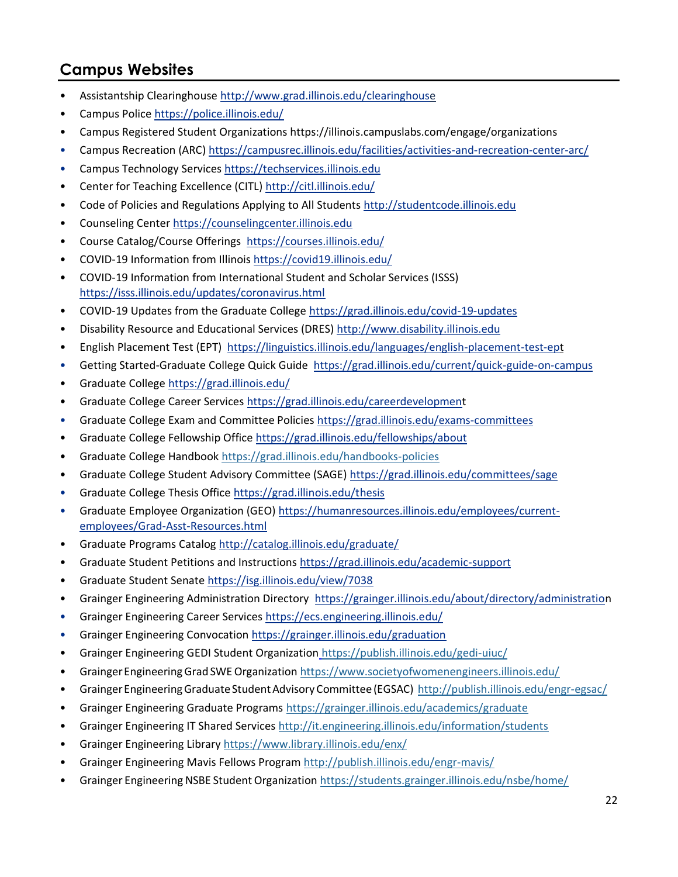# <span id="page-22-0"></span>**Campus Websites**

- Assistantship Clearinghouse<http://www.grad.illinois.edu/clearinghouse>
- Campus Police<https://police.illinois.edu/>
- Campus Registered Student Organizations https://illinois.campuslabs.com/engage/organizations
- Campus Recreation (ARC[\) https://campusrec.illinois.edu/facilities/activities-and-recreation-center-arc/](https://campusrec.illinois.edu/facilities/activities-and-recreation-center-arc/)
- Campus Technology Services [https://techservices.illinois.edu](https://techservices.illinois.edu/)
- Center for Teaching Excellence (CITL[\) http://citl.illinois.edu/](http://citl.illinois.edu/)
- Code of Policies and Regulations Applying to All Students [http://studentcode.illinois.edu](http://studentcode.illinois.edu/)
- Counseling Center [https://counselingcenter.illinois.edu](https://counselingcenter.illinois.edu/)
- Course Catalog/Course Offerings <https://courses.illinois.edu/>
- COVID-19 Information from Illinois<https://covid19.illinois.edu/>
- COVID-19 Information from International Student and Scholar Services (ISSS) <https://isss.illinois.edu/updates/coronavirus.html>
- COVID-19 Updates from the Graduate College<https://grad.illinois.edu/covid-19-updates>
- Disability Resource and Educational Services (DRES) [http://www.disability.illinois.edu](http://www.disability.illinois.edu/)
- English Placement Test (EPT) <https://linguistics.illinois.edu/languages/english-placement-test-ept>
- Getting Started-Graduate College Quick Guide <https://grad.illinois.edu/current/quick-guide-on-campus>
- Graduate College<https://grad.illinois.edu/>
- Graduate College Career Services<https://grad.illinois.edu/careerdevelopment>
- Graduate College Exam and Committee Policies<https://grad.illinois.edu/exams-committees>
- Graduate College Fellowship Office<https://grad.illinois.edu/fellowships/about>
- Graduate College Handbook<https://grad.illinois.edu/handbooks-policies>
- Graduate College Student Advisory Committee (SAGE)<https://grad.illinois.edu/committees/sage>
- Graduate College Thesis Office<https://grad.illinois.edu/thesis>
- Graduate Employee Organization (GEO[\) https://humanresources.illinois.edu/employees/current](https://humanresources.illinois.edu/employees/current-employees/Grad-Asst-Resources.html)[employees/Grad-Asst-Resources.html](https://humanresources.illinois.edu/employees/current-employees/Grad-Asst-Resources.html)
- Graduate Programs Catalog<http://catalog.illinois.edu/graduate/>
- Graduate Student Petitions and Instructions<https://grad.illinois.edu/academic-support>
- Graduate Student Senat[e https://isg.illinois.edu/view/7038](https://isg.illinois.edu/view/7038)
- Grainger Engineering Administration Directory <https://grainger.illinois.edu/about/directory/administration>
- Grainger Engineering Career Service[s https://ecs.engineering.illinois.edu/](https://ecs.engineering.illinois.edu/)
- Grainger Engineering Convocation<https://grainger.illinois.edu/graduation>
- Grainger Engineering GEDI Student Organization <https://publish.illinois.edu/gedi-uiuc/>
- GraingerEngineeringGrad SWEOrganization<https://www.societyofwomenengineers.illinois.edu/>
- Grainger Engineering Graduate Student Advisory Committee (EGSAC) <http://publish.illinois.edu/engr-egsac/>
- Grainger Engineering Graduate Programs <https://grainger.illinois.edu/academics/graduate>
- Grainger Engineering IT Shared Services<http://it.engineering.illinois.edu/information/students>
- Grainger Engineering Library<https://www.library.illinois.edu/enx/>
- Grainger Engineering Mavis Fellows Program <http://publish.illinois.edu/engr-mavis/>
- Grainger Engineering NSBE Student Organization<https://students.grainger.illinois.edu/nsbe/home/>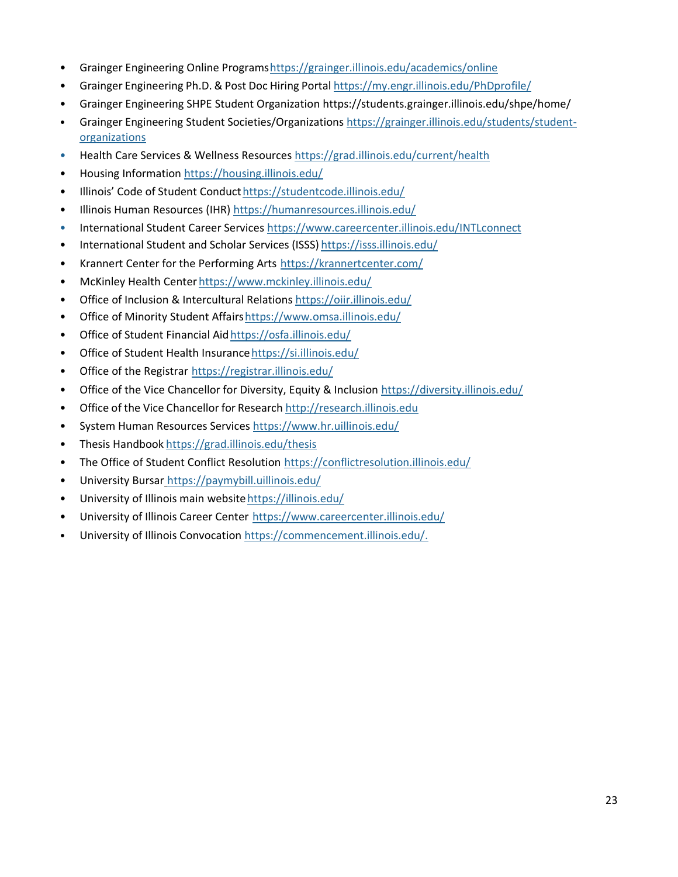- Grainger Engineering Online Programshttps://grainger.illinois.edu/academics/online
- Grainger Engineering Ph.D. & Post Doc Hiring Portal https://my.engr.illinois.edu/PhDprofile/
- Grainger Engineering SHPE Student Organization https://students.grainger.illinois.edu/shpe/home/
- Grainger Engineering Student Societies/Organizations https://grainger.illinois.edu/students/studentorganizations
- Health Care Services & Wellness Resources https://grad.illinois.edu/current/health
- Housing Information https://housing.illinois.edu/
- Illinois' Code of Student Conducthttps://studentcode.illinois.edu/
- Illinois Human Resources (IHR) https://humanresources.illinois.edu/
- International Student Career Services https://www.careercenter.illinois.edu/INTLconnect
- International Student and Scholar Services (ISSS) https://isss.illinois.edu/
- Krannert Center for the Performing Arts https://krannertcenter.com/
- McKinley Health Center https://www.mckinley.illinois.edu/
- Office of Inclusion & Intercultural Relations https://oiir.illinois.edu/
- Office of Minority Student Affairshttps://www.omsa.illinois.edu/
- Office of Student Financial Aidhttps://osfa.illinois.edu/
- Office of Student Health Insurancehttps://si.illinois.edu/
- Office of the Registrar https://registrar.illinois.edu/
- Office of the Vice Chancellor for Diversity, Equity & Inclusion https://diversity.illinois.edu/
- Office of the Vice Chancellor for Research http://research.illinois.edu
- System Human Resources Services https://www.hr.uillinois.edu/
- Thesis Handbook https://grad.illinois.edu/thesis
- The Office of Student Conflict Resolution https://conflictresolution.illinois.edu/
- University Bursar https://paymybill.uillinois.edu/
- University of Illinois main websitehttps://illinois.edu/
- University of Illinois Career Center https://www.careercenter.illinois.edu/
- University of Illinois Convocation https://commencement.illinois.edu/.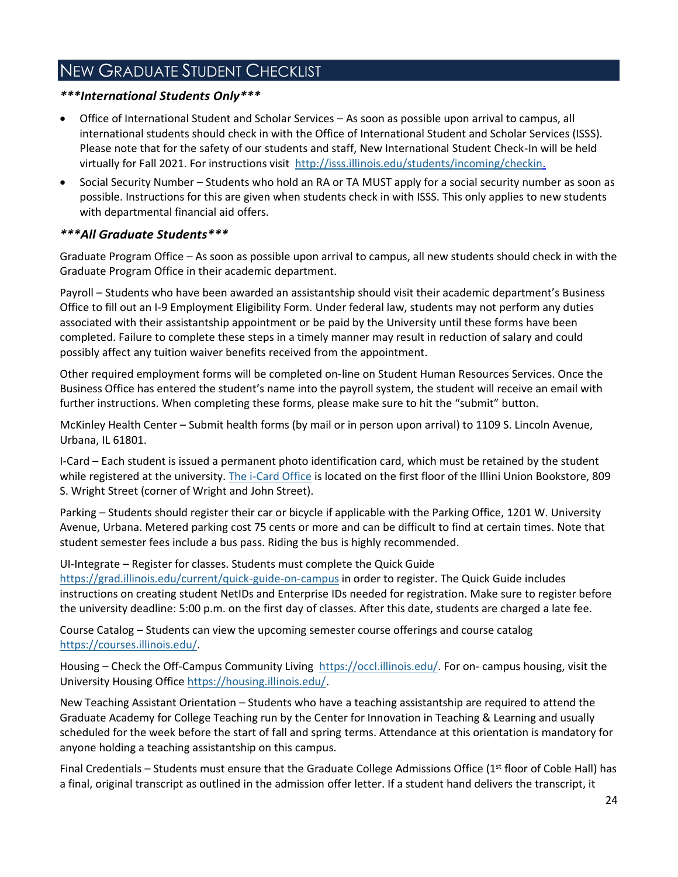# <span id="page-24-0"></span>NEW GRADUATE STUDENT CHECKLIST

#### *\*\*\*International Students Only\*\*\**

- Office of International Student and Scholar Services As soon as possible upon arrival to campus, all international students should check in with the Office of International Student and Scholar Services (ISSS). Please note that for the safety of our students and staff, New International Student Check-In will be held virtually for Fall 2021. For instructions visit http://isss.illinois.edu/students/incoming/checkin.
- Social Security Number Students who hold an RA or TA MUST apply for a social security number as soon as possible. Instructions for this are given when students check in with ISSS. This only applies to new students with departmental financial aid offers.

#### *\*\*\*All Graduate Students\*\*\**

Graduate Program Office – As soon as possible upon arrival to campus, all new students should check in with the Graduate Program Office in their academic department.

Payroll – Students who have been awarded an assistantship should visit their academic department's Business Office to fill out an I-9 Employment Eligibility Form. Under federal law, students may not perform any duties associated with their assistantship appointment or be paid by the University until these forms have been completed. Failure to complete these steps in a timely manner may result in reduction of salary and could possibly affect any tuition waiver benefits received from the appointment.

Other required employment forms will be completed on-line on Student Human Resources Services. Once the Business Office has entered the student's name into the payroll system, the student will receive an email with further instructions. When completing these forms, please make sure to hit the "submit" button.

McKinley Health Center – Submit health forms (by mail or in person upon arrival) to 1109 S. Lincoln Avenue, Urbana, IL 61801.

I-Card – Each student is issued a permanent photo identification card, which must be retained by the student while registered at the university. The i-Card Office is located on the first floor of the Illini Union Bookstore, 809 S. Wright Street (corner of Wright and John Street).

Parking – Students should register their car or bicycle if applicable with the Parking Office, 1201 W. University Avenue, Urbana. Metered parking cost 75 cents or more and can be difficult to find at certain times. Note that student semester fees include a bus pass. Riding the bus is highly recommended.

UI-Integrate – Register for classes. Students must complete the Quick Guide https://grad.illinois.edu/current/quick-guide-on-campus in order to register. The Quick Guide includes instructions on creating student NetIDs and Enterprise IDs needed for registration. Make sure to register before the university deadline: 5:00 p.m. on the first day of classes. After this date, students are charged a late fee.

Course Catalog – Students can view the upcoming semester course offerings and course catalog https://courses.illinois.edu/.

Housing – Check the Off-Campus Community Living https://occl.illinois.edu/. For on- campus housing, visit the University Housing Office https://housing.illinois.edu/.

New Teaching Assistant Orientation – Students who have a teaching assistantship are required to attend the Graduate Academy for College Teaching run by the Center for Innovation in Teaching & Learning and usually scheduled for the week before the start of fall and spring terms. Attendance at this orientation is mandatory for anyone holding a teaching assistantship on this campus.

Final Credentials – Students must ensure that the Graduate College Admissions Office (1<sup>st</sup> floor of Coble Hall) has a final, original transcript as outlined in the admission offer letter. If a student hand delivers the transcript, it